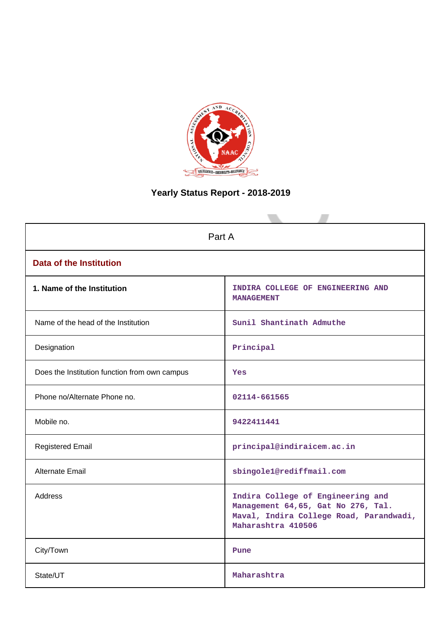

# **Yearly Status Report - 2018-2019**

| Part A                                        |                                                                                                                                          |  |  |
|-----------------------------------------------|------------------------------------------------------------------------------------------------------------------------------------------|--|--|
| <b>Data of the Institution</b>                |                                                                                                                                          |  |  |
| 1. Name of the Institution                    | INDIRA COLLEGE OF ENGINEERING AND<br><b>MANAGEMENT</b>                                                                                   |  |  |
| Name of the head of the Institution           | Sunil Shantinath Admuthe                                                                                                                 |  |  |
| Designation                                   | Principal                                                                                                                                |  |  |
| Does the Institution function from own campus | Yes                                                                                                                                      |  |  |
| Phone no/Alternate Phone no.                  | 02114-661565                                                                                                                             |  |  |
| Mobile no.                                    | 9422411441                                                                                                                               |  |  |
| <b>Registered Email</b>                       | principal@indiraicem.ac.in                                                                                                               |  |  |
| Alternate Email                               | sbingole1@rediffmail.com                                                                                                                 |  |  |
| <b>Address</b>                                | Indira College of Engineering and<br>Management 64,65, Gat No 276, Tal.<br>Maval, Indira College Road, Parandwadi,<br>Maharashtra 410506 |  |  |
| City/Town                                     | Pune                                                                                                                                     |  |  |
| State/UT                                      | Maharashtra                                                                                                                              |  |  |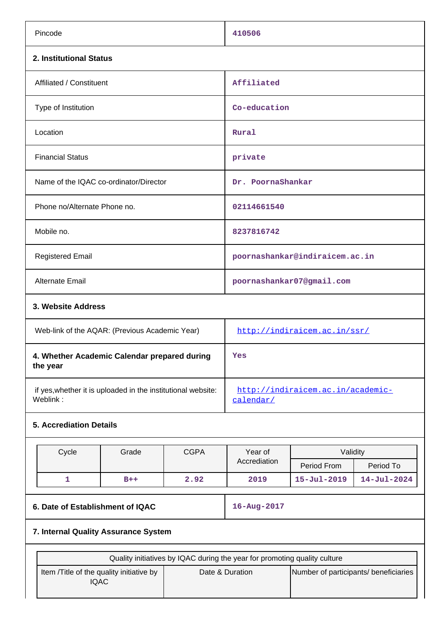| Pincode                                                                  |             | 410506                                         |                              |                   |
|--------------------------------------------------------------------------|-------------|------------------------------------------------|------------------------------|-------------------|
| 2. Institutional Status                                                  |             |                                                |                              |                   |
| Affiliated / Constituent                                                 | Affiliated  |                                                |                              |                   |
| Type of Institution                                                      |             | Co-education                                   |                              |                   |
| Location                                                                 |             | Rural                                          |                              |                   |
| <b>Financial Status</b>                                                  |             | private                                        |                              |                   |
| Name of the IQAC co-ordinator/Director<br>Dr. PoornaShankar              |             |                                                |                              |                   |
| Phone no/Alternate Phone no.                                             |             | 02114661540                                    |                              |                   |
| Mobile no.                                                               |             | 8237816742                                     |                              |                   |
| <b>Registered Email</b>                                                  |             | poornashankar@indiraicem.ac.in                 |                              |                   |
| <b>Alternate Email</b>                                                   |             |                                                | poornashankar07@gmail.com    |                   |
| 3. Website Address                                                       |             |                                                |                              |                   |
| Web-link of the AQAR: (Previous Academic Year)                           |             |                                                | http://indiraicem.ac.in/ssr/ |                   |
| 4. Whether Academic Calendar prepared during<br>the year                 |             | Yes                                            |                              |                   |
| if yes, whether it is uploaded in the institutional website:<br>Weblink: |             | http://indiraicem.ac.in/academic-<br>calendar/ |                              |                   |
| <b>5. Accrediation Details</b>                                           |             |                                                |                              |                   |
| Cycle<br>Grade                                                           | <b>CGPA</b> | Year of                                        | Validity                     |                   |
|                                                                          |             | Accrediation                                   | Period From                  | Period To         |
| 1<br>$B++$                                                               | 2.92        | 2019                                           | $15 - Jul - 2019$            | $14 - Jul - 2024$ |

# **6. Date of Establishment of IQAC 16-Aug-2017**

## **7. Internal Quality Assurance System**

| Quality initiatives by IQAC during the year for promoting quality culture |                 |                                       |  |  |
|---------------------------------------------------------------------------|-----------------|---------------------------------------|--|--|
| Item / Title of the quality initiative by<br><b>IQAC</b>                  | Date & Duration | Number of participants/ beneficiaries |  |  |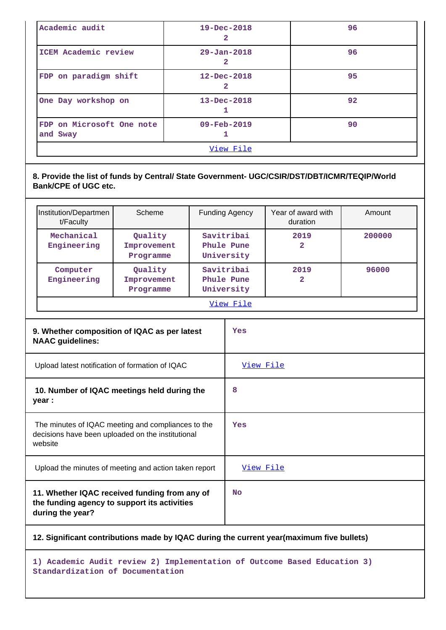| Academic audit                                                    | $19 - Dec - 2018$<br>2 | 96 |  |  |
|-------------------------------------------------------------------|------------------------|----|--|--|
| ICEM Academic review                                              | $29 - Jan - 2018$<br>2 | 96 |  |  |
| FDP on paradigm shift                                             | $12 - Dec - 2018$<br>2 | 95 |  |  |
| One Day workshop on                                               | $13 - Dec - 2018$      | 92 |  |  |
| FDP on Microsoft One note<br>$09 - \text{Feb} - 2019$<br>and Sway |                        | 90 |  |  |
| View File                                                         |                        |    |  |  |

**8. Provide the list of funds by Central/ State Government- UGC/CSIR/DST/DBT/ICMR/TEQIP/World Bank/CPE of UGC etc.**

| Institution/Departmen<br>t/Faculty | Scheme                              | <b>Funding Agency</b>                  | Year of award with<br>duration | Amount |  |
|------------------------------------|-------------------------------------|----------------------------------------|--------------------------------|--------|--|
| Mechanical<br>Engineering          | Quality<br>Improvement<br>Programme | Savitribai<br>Phule Pune<br>University | 2019<br>2                      | 200000 |  |
| Computer<br>Engineering            | Quality<br>Improvement<br>Programme | Savitribai<br>Phule Pune<br>University | 2019<br>2                      | 96000  |  |
| View File                          |                                     |                                        |                                |        |  |

| 9. Whether composition of IQAC as per latest<br><b>NAAC</b> guidelines:                                            | Yes              |
|--------------------------------------------------------------------------------------------------------------------|------------------|
| Upload latest notification of formation of IQAC                                                                    | <u>View File</u> |
| 10. Number of IQAC meetings held during the<br>year :                                                              | 8                |
| The minutes of IQAC meeting and compliances to the<br>decisions have been uploaded on the institutional<br>website | Yes              |
| Upload the minutes of meeting and action taken report                                                              | <u>View File</u> |
| 11. Whether IQAC received funding from any of<br>the funding agency to support its activities<br>during the year?  | <b>No</b>        |

**12. Significant contributions made by IQAC during the current year(maximum five bullets)**

**1) Academic Audit review 2) Implementation of Outcome Based Education 3) Standardization of Documentation**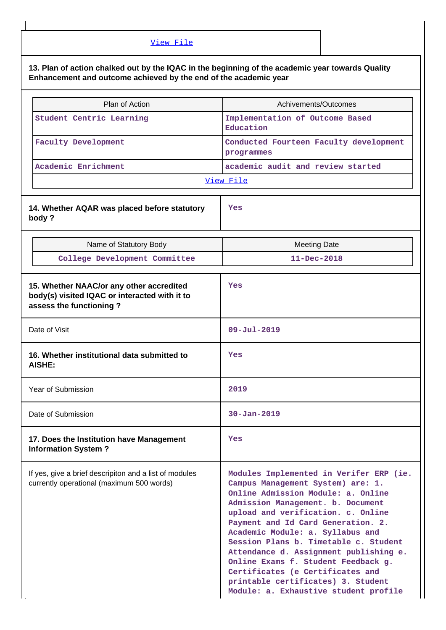| View File                                                                                                                                                            |                                                                                                                                                                                                                                                                                                                                                                                                                                                                                                                      |  |
|----------------------------------------------------------------------------------------------------------------------------------------------------------------------|----------------------------------------------------------------------------------------------------------------------------------------------------------------------------------------------------------------------------------------------------------------------------------------------------------------------------------------------------------------------------------------------------------------------------------------------------------------------------------------------------------------------|--|
| 13. Plan of action chalked out by the IQAC in the beginning of the academic year towards Quality<br>Enhancement and outcome achieved by the end of the academic year |                                                                                                                                                                                                                                                                                                                                                                                                                                                                                                                      |  |
| Plan of Action                                                                                                                                                       | Achivements/Outcomes                                                                                                                                                                                                                                                                                                                                                                                                                                                                                                 |  |
| Student Centric Learning                                                                                                                                             | Implementation of Outcome Based<br>Education                                                                                                                                                                                                                                                                                                                                                                                                                                                                         |  |
| <b>Faculty Development</b>                                                                                                                                           | Conducted Fourteen Faculty development<br>programmes                                                                                                                                                                                                                                                                                                                                                                                                                                                                 |  |
| Academic Enrichment                                                                                                                                                  | academic audit and review started                                                                                                                                                                                                                                                                                                                                                                                                                                                                                    |  |
|                                                                                                                                                                      | View File                                                                                                                                                                                                                                                                                                                                                                                                                                                                                                            |  |
| 14. Whether AQAR was placed before statutory<br>body?                                                                                                                | Yes                                                                                                                                                                                                                                                                                                                                                                                                                                                                                                                  |  |
| Name of Statutory Body                                                                                                                                               | <b>Meeting Date</b>                                                                                                                                                                                                                                                                                                                                                                                                                                                                                                  |  |
| College Development Committee                                                                                                                                        | $11 - Dec - 2018$                                                                                                                                                                                                                                                                                                                                                                                                                                                                                                    |  |
| 15. Whether NAAC/or any other accredited<br>body(s) visited IQAC or interacted with it to<br>assess the functioning?                                                 | Yes                                                                                                                                                                                                                                                                                                                                                                                                                                                                                                                  |  |
| Date of Visit                                                                                                                                                        | $09 - Ju1 - 2019$                                                                                                                                                                                                                                                                                                                                                                                                                                                                                                    |  |
| 16. Whether institutional data submitted to<br>AISHE:                                                                                                                | Yes                                                                                                                                                                                                                                                                                                                                                                                                                                                                                                                  |  |
| Year of Submission                                                                                                                                                   | 2019                                                                                                                                                                                                                                                                                                                                                                                                                                                                                                                 |  |
| Date of Submission                                                                                                                                                   | $30 - Jan - 2019$                                                                                                                                                                                                                                                                                                                                                                                                                                                                                                    |  |
| 17. Does the Institution have Management<br><b>Information System?</b>                                                                                               | Yes                                                                                                                                                                                                                                                                                                                                                                                                                                                                                                                  |  |
| If yes, give a brief descripiton and a list of modules<br>currently operational (maximum 500 words)                                                                  | Modules Implemented in Verifer ERP (ie.<br>Campus Management System) are: 1.<br>Online Admission Module: a. Online<br>Admission Management. b. Document<br>upload and verification. c. Online<br>Payment and Id Card Generation. 2.<br>Academic Module: a. Syllabus and<br>Session Plans b. Timetable c. Student<br>Attendance d. Assignment publishing e.<br>Online Exams f. Student Feedback g.<br>Certificates (e Certificates and<br>printable certificates) 3. Student<br>Module: a. Exhaustive student profile |  |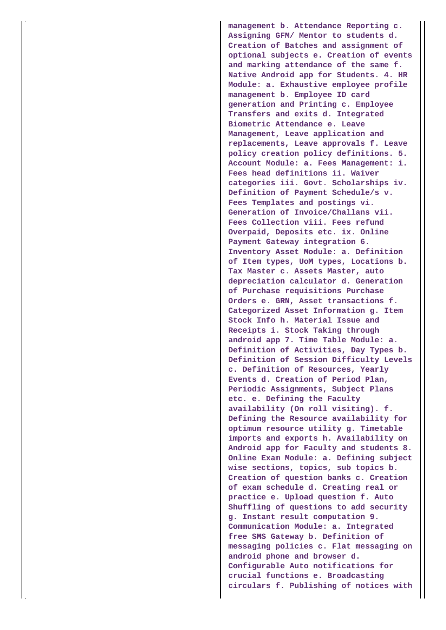**management b. Attendance Reporting c. Assigning GFM/ Mentor to students d. Creation of Batches and assignment of optional subjects e. Creation of events and marking attendance of the same f. Native Android app for Students. 4. HR Module: a. Exhaustive employee profile management b. Employee ID card generation and Printing c. Employee Transfers and exits d. Integrated Biometric Attendance e. Leave Management, Leave application and replacements, Leave approvals f. Leave policy creation policy definitions. 5. Account Module: a. Fees Management: i. Fees head definitions ii. Waiver categories iii. Govt. Scholarships iv. Definition of Payment Schedule/s v. Fees Templates and postings vi. Generation of Invoice/Challans vii. Fees Collection viii. Fees refund Overpaid, Deposits etc. ix. Online Payment Gateway integration 6. Inventory Asset Module: a. Definition of Item types, UoM types, Locations b. Tax Master c. Assets Master, auto depreciation calculator d. Generation of Purchase requisitions Purchase Orders e. GRN, Asset transactions f. Categorized Asset Information g. Item Stock Info h. Material Issue and Receipts i. Stock Taking through android app 7. Time Table Module: a. Definition of Activities, Day Types b. Definition of Session Difficulty Levels c. Definition of Resources, Yearly Events d. Creation of Period Plan, Periodic Assignments, Subject Plans etc. e. Defining the Faculty availability (On roll visiting). f. Defining the Resource availability for optimum resource utility g. Timetable imports and exports h. Availability on Android app for Faculty and students 8. Online Exam Module: a. Defining subject wise sections, topics, sub topics b. Creation of question banks c. Creation of exam schedule d. Creating real or practice e. Upload question f. Auto Shuffling of questions to add security g. Instant result computation 9. Communication Module: a. Integrated free SMS Gateway b. Definition of messaging policies c. Flat messaging on android phone and browser d. Configurable Auto notifications for crucial functions e. Broadcasting circulars f. Publishing of notices with**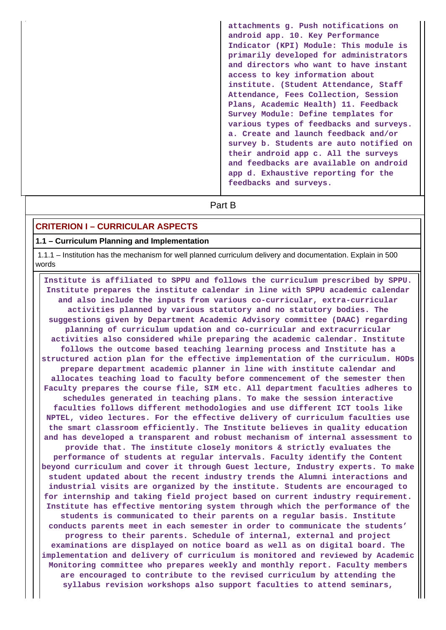**attachments g. Push notifications on android app. 10. Key Performance Indicator (KPI) Module: This module is primarily developed for administrators and directors who want to have instant access to key information about institute. (Student Attendance, Staff Attendance, Fees Collection, Session Plans, Academic Health) 11. Feedback Survey Module: Define templates for various types of feedbacks and surveys. a. Create and launch feedback and/or survey b. Students are auto notified on their android app c. All the surveys and feedbacks are available on android app d. Exhaustive reporting for the feedbacks and surveys.**

# **Part B**

## **CRITERION I – CURRICULAR ASPECTS**

#### **1.1 – Curriculum Planning and Implementation**

 1.1.1 – Institution has the mechanism for well planned curriculum delivery and documentation. Explain in 500 words

 **Institute is affiliated to SPPU and follows the curriculum prescribed by SPPU. Institute prepares the institute calendar in line with SPPU academic calendar and also include the inputs from various co-curricular, extra-curricular activities planned by various statutory and no statutory bodies. The suggestions given by Department Academic Advisory committee (DAAC) regarding planning of curriculum updation and co-curricular and extracurricular activities also considered while preparing the academic calendar. Institute follows the outcome based teaching learning process and Institute has a structured action plan for the effective implementation of the curriculum. HODs prepare department academic planner in line with institute calendar and allocates teaching load to faculty before commencement of the semester then Faculty prepares the course file, SIM etc. All department faculties adheres to schedules generated in teaching plans. To make the session interactive faculties follows different methodologies and use different ICT tools like NPTEL, video lectures. For the effective delivery of curriculum faculties use the smart classroom efficiently. The Institute believes in quality education and has developed a transparent and robust mechanism of internal assessment to provide that. The institute closely monitors & strictly evaluates the performance of students at regular intervals. Faculty identify the Content beyond curriculum and cover it through Guest lecture, Industry experts. To make student updated about the recent industry trends the Alumni interactions and industrial visits are organized by the institute. Students are encouraged to for internship and taking field project based on current industry requirement. Institute has effective mentoring system through which the performance of the students is communicated to their parents on a regular basis. Institute conducts parents meet in each semester in order to communicate the students' progress to their parents. Schedule of internal, external and project examinations are displayed on notice board as well as on digital board. The implementation and delivery of curriculum is monitored and reviewed by Academic Monitoring committee who prepares weekly and monthly report. Faculty members are encouraged to contribute to the revised curriculum by attending the syllabus revision workshops also support faculties to attend seminars,**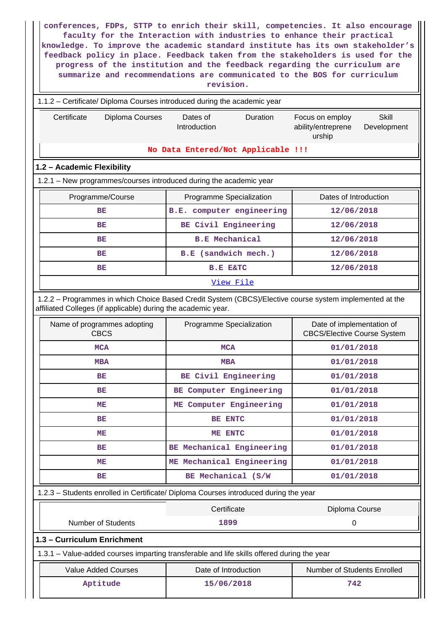| conferences, FDPs, STTP to enrich their skill, competencies. It also encourage<br>faculty for the Interaction with industries to enhance their practical<br>knowledge. To improve the academic standard institute has its own stakeholder's<br>feedback policy in place. Feedback taken from the stakeholders is used for the<br>progress of the institution and the feedback regarding the curriculum are<br>summarize and recommendations are communicated to the BOS for curriculum<br>revision. |                                                       |                                     |  |  |  |
|-----------------------------------------------------------------------------------------------------------------------------------------------------------------------------------------------------------------------------------------------------------------------------------------------------------------------------------------------------------------------------------------------------------------------------------------------------------------------------------------------------|-------------------------------------------------------|-------------------------------------|--|--|--|
| 1.1.2 – Certificate/ Diploma Courses introduced during the academic year                                                                                                                                                                                                                                                                                                                                                                                                                            |                                                       |                                     |  |  |  |
| Certificate<br>Diploma Courses<br>Dates of<br>Duration<br>Skill<br>Focus on employ<br>Introduction<br>ability/entreprene<br>Development<br>urship                                                                                                                                                                                                                                                                                                                                                   |                                                       |                                     |  |  |  |
|                                                                                                                                                                                                                                                                                                                                                                                                                                                                                                     | No Data Entered/Not Applicable !!!                    |                                     |  |  |  |
| 1.2 - Academic Flexibility                                                                                                                                                                                                                                                                                                                                                                                                                                                                          |                                                       |                                     |  |  |  |
| 1.2.1 - New programmes/courses introduced during the academic year                                                                                                                                                                                                                                                                                                                                                                                                                                  |                                                       |                                     |  |  |  |
| Programme/Course<br>BE                                                                                                                                                                                                                                                                                                                                                                                                                                                                              | Programme Specialization<br>B.E. computer engineering | Dates of Introduction<br>12/06/2018 |  |  |  |
| BE                                                                                                                                                                                                                                                                                                                                                                                                                                                                                                  | BE Civil Engineering                                  | 12/06/2018                          |  |  |  |
| <b>BE</b>                                                                                                                                                                                                                                                                                                                                                                                                                                                                                           | <b>B.E</b> Mechanical                                 | 12/06/2018                          |  |  |  |
| BE                                                                                                                                                                                                                                                                                                                                                                                                                                                                                                  | B.E (sandwich mech.)                                  | 12/06/2018                          |  |  |  |
| BE                                                                                                                                                                                                                                                                                                                                                                                                                                                                                                  | <b>B.E E&amp;TC</b>                                   | 12/06/2018                          |  |  |  |
|                                                                                                                                                                                                                                                                                                                                                                                                                                                                                                     | View File                                             |                                     |  |  |  |
| 1.2.2 - Programmes in which Choice Based Credit System (CBCS)/Elective course system implemented at the<br>affiliated Colleges (if applicable) during the academic year.                                                                                                                                                                                                                                                                                                                            |                                                       |                                     |  |  |  |
| Date of implementation of<br>Name of programmes adopting<br>Programme Specialization<br><b>CBCS</b><br><b>CBCS/Elective Course System</b>                                                                                                                                                                                                                                                                                                                                                           |                                                       |                                     |  |  |  |
| <b>MCA</b>                                                                                                                                                                                                                                                                                                                                                                                                                                                                                          | <b>MCA</b><br>01/01/2018                              |                                     |  |  |  |
| <b>MBA</b>                                                                                                                                                                                                                                                                                                                                                                                                                                                                                          | <b>MBA</b>                                            | 01/01/2018                          |  |  |  |
| <b>BE</b>                                                                                                                                                                                                                                                                                                                                                                                                                                                                                           | BE Civil Engineering                                  | 01/01/2018                          |  |  |  |
| <b>BE</b>                                                                                                                                                                                                                                                                                                                                                                                                                                                                                           | BE Computer Engineering                               | 01/01/2018                          |  |  |  |
| MЕ                                                                                                                                                                                                                                                                                                                                                                                                                                                                                                  | ME Computer Engineering                               | 01/01/2018                          |  |  |  |
| BE                                                                                                                                                                                                                                                                                                                                                                                                                                                                                                  | BE ENTC                                               | 01/01/2018                          |  |  |  |
| MЕ                                                                                                                                                                                                                                                                                                                                                                                                                                                                                                  | ME ENTC                                               | 01/01/2018                          |  |  |  |
| BE                                                                                                                                                                                                                                                                                                                                                                                                                                                                                                  | BE Mechanical Engineering                             | 01/01/2018                          |  |  |  |
| MЕ                                                                                                                                                                                                                                                                                                                                                                                                                                                                                                  | ME Mechanical Engineering                             | 01/01/2018                          |  |  |  |
| BE                                                                                                                                                                                                                                                                                                                                                                                                                                                                                                  | BE Mechanical (S/W                                    | 01/01/2018                          |  |  |  |
| 1.2.3 - Students enrolled in Certificate/ Diploma Courses introduced during the year                                                                                                                                                                                                                                                                                                                                                                                                                |                                                       |                                     |  |  |  |
|                                                                                                                                                                                                                                                                                                                                                                                                                                                                                                     | Certificate                                           | Diploma Course                      |  |  |  |
| <b>Number of Students</b>                                                                                                                                                                                                                                                                                                                                                                                                                                                                           | 1899                                                  | 0                                   |  |  |  |
| 1.3 - Curriculum Enrichment                                                                                                                                                                                                                                                                                                                                                                                                                                                                         |                                                       |                                     |  |  |  |
| 1.3.1 - Value-added courses imparting transferable and life skills offered during the year                                                                                                                                                                                                                                                                                                                                                                                                          |                                                       |                                     |  |  |  |
| <b>Value Added Courses</b>                                                                                                                                                                                                                                                                                                                                                                                                                                                                          | Date of Introduction                                  | Number of Students Enrolled         |  |  |  |
| Aptitude<br>15/06/2018<br>742                                                                                                                                                                                                                                                                                                                                                                                                                                                                       |                                                       |                                     |  |  |  |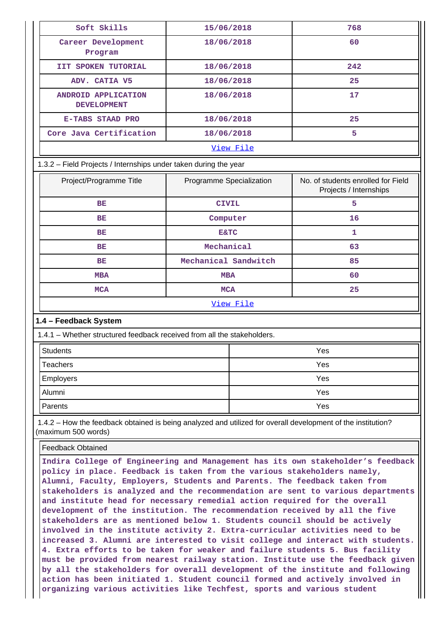| Soft Skills                                                                                                                         | 15/06/2018               |           | 768                                                          |
|-------------------------------------------------------------------------------------------------------------------------------------|--------------------------|-----------|--------------------------------------------------------------|
| Career Development<br>Program                                                                                                       | 18/06/2018               |           | 60                                                           |
| <b>IIT SPOKEN TUTORIAL</b>                                                                                                          | 18/06/2018               |           | 242                                                          |
| ADV. CATIA V5                                                                                                                       | 18/06/2018               |           | 25                                                           |
| ANDROID APPLICATION<br><b>DEVELOPMENT</b>                                                                                           | 18/06/2018               |           | 17                                                           |
| <b>E-TABS STAAD PRO</b>                                                                                                             | 18/06/2018               |           | 25                                                           |
| Core Java Certification                                                                                                             | 18/06/2018               |           | 5                                                            |
|                                                                                                                                     |                          | View File |                                                              |
| 1.3.2 – Field Projects / Internships under taken during the year                                                                    |                          |           |                                                              |
| Project/Programme Title                                                                                                             | Programme Specialization |           | No. of students enrolled for Field<br>Projects / Internships |
| <b>BE</b>                                                                                                                           | <b>CIVIL</b>             |           | 5                                                            |
| BE                                                                                                                                  | Computer                 |           | 16                                                           |
| ВE                                                                                                                                  | <b>E&amp;TC</b>          |           | 1                                                            |
| ВE                                                                                                                                  | Mechanical               |           | 63                                                           |
| <b>BE</b>                                                                                                                           | Mechanical Sandwitch     |           | 85                                                           |
| <b>MBA</b>                                                                                                                          | <b>MBA</b>               |           | 60                                                           |
| <b>MCA</b>                                                                                                                          | <b>MCA</b>               |           | 25                                                           |
|                                                                                                                                     |                          | View File |                                                              |
| 1.4 - Feedback System                                                                                                               |                          |           |                                                              |
| 1.4.1 – Whether structured feedback received from all the stakeholders.                                                             |                          |           |                                                              |
| <b>Students</b>                                                                                                                     |                          |           | Yes                                                          |
| <b>Teachers</b>                                                                                                                     |                          |           | Yes                                                          |
| <b>Employers</b>                                                                                                                    |                          |           | Yes                                                          |
| Alumni                                                                                                                              |                          |           | Yes                                                          |
| Parents                                                                                                                             |                          |           | Yes                                                          |
| 1.4.2 – How the feedback obtained is being analyzed and utilized for overall development of the institution?<br>(maximum 500 words) |                          |           |                                                              |
|                                                                                                                                     |                          |           |                                                              |
| <b>Feedback Obtained</b>                                                                                                            |                          |           |                                                              |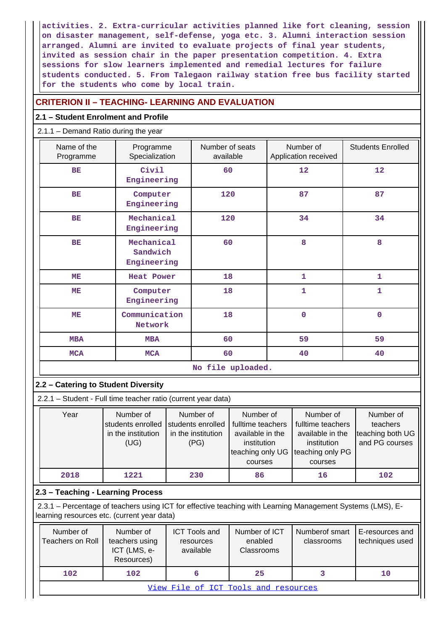**activities. 2. Extra-curricular activities planned like fort cleaning, session on disaster management, self-defense, yoga etc. 3. Alumni interaction session arranged. Alumni are invited to evaluate projects of final year students, invited as session chair in the paper presentation competition. 4. Extra sessions for slow learners implemented and remedial lectures for failure students conducted. 5. From Talegaon railway station free bus facility started for the students who come by local train.**

## **CRITERION II – TEACHING- LEARNING AND EVALUATION**

## **2.1 – Student Enrolment and Profile**

2.1.1 – Demand Ratio during the year

| Name of the<br>Programme | Programme<br>Specialization           | Number of seats<br>available | Number of<br>Application received | <b>Students Enrolled</b> |
|--------------------------|---------------------------------------|------------------------------|-----------------------------------|--------------------------|
| <b>BE</b>                | Civil<br>Engineering                  | 60                           | 12                                | 12                       |
| <b>BE</b>                | Computer<br>Engineering               | 120                          | 87                                | 87                       |
| <b>BE</b>                | Mechanical<br>Engineering             | 120                          | 34                                | 34                       |
| <b>BE</b>                | Mechanical<br>Sandwich<br>Engineering | 60                           | 8                                 | 8                        |
| ME                       | <b>Heat Power</b>                     | 18                           | $\mathbf{1}$                      | 1                        |
| ME                       | Computer<br>Engineering               | 18                           | $\mathbf{1}$                      | 1                        |
| ME                       | Communication<br>Network              | 18                           | $\mathbf 0$                       | $\mathbf 0$              |
| <b>MBA</b>               | <b>MBA</b>                            | 60                           | 59                                | 59                       |
| <b>MCA</b>               | <b>MCA</b>                            | 60                           | 40                                | 40                       |
| No file uploaded.        |                                       |                              |                                   |                          |

### **2.2 – Catering to Student Diversity**

2.2.1 – Student - Full time teacher ratio (current year data)

| Year | Number of          | Number of          | Number of                          | Number of         | Number of        |
|------|--------------------|--------------------|------------------------------------|-------------------|------------------|
|      | students enrolled  | students enrolled  | fulltime teachers                  | fulltime teachers | teachers         |
|      | in the institution | in the institution | available in the                   | available in the  | teaching both UG |
|      | (UG)               | (PG)               | institution                        | institution       | and PG courses   |
|      |                    |                    | teaching only UG Iteaching only PG |                   |                  |
|      |                    |                    | courses                            | courses           |                  |
| 2018 | 1221               | 230                | 86                                 | 16                | 102              |

## **2.3 – Teaching - Learning Process**

 2.3.1 – Percentage of teachers using ICT for effective teaching with Learning Management Systems (LMS), Elearning resources etc. (current year data)

| Number of<br>Teachers on Roll        | Number of<br>teachers using<br>ICT (LMS, e-<br>Resources) | <b>ICT Tools and</b><br>resources<br>available | Number of ICT<br>enabled<br><b>Classrooms</b> | Numberof smart<br>classrooms | E-resources and<br>techniques used |
|--------------------------------------|-----------------------------------------------------------|------------------------------------------------|-----------------------------------------------|------------------------------|------------------------------------|
| 102                                  | 102                                                       |                                                | 25                                            |                              | 10                                 |
| View File of ICT Tools and resources |                                                           |                                                |                                               |                              |                                    |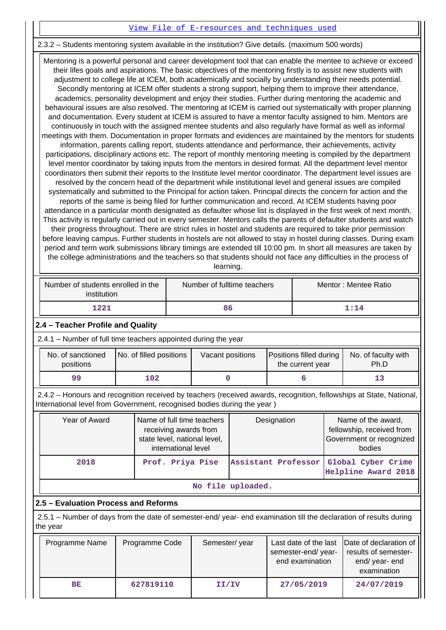### [View File of E-resources and techniques used](https://assessmentonline.naac.gov.in/public/Postacc/e_resource/4908_e_resource_1584089604.xlsx)

#### 2.3.2 – Students mentoring system available in the institution? Give details. (maximum 500 words)

 Mentoring is a powerful personal and career development tool that can enable the mentee to achieve or exceed their lifes goals and aspirations. The basic objectives of the mentoring firstly is to assist new students with adjustment to college life at ICEM, both academically and socially by understanding their needs potential. Secondly mentoring at ICEM offer students a strong support, helping them to improve their attendance, academics, personality development and enjoy their studies. Further during mentoring the academic and behavioural issues are also resolved. The mentoring at ICEM is carried out systematically with proper planning and documentation. Every student at ICEM is assured to have a mentor faculty assigned to him. Mentors are continuously in touch with the assigned mentee students and also regularly have formal as well as informal meetings with them. Documentation in proper formats and evidences are maintained by the mentors for students information, parents calling report, students attendance and performance, their achievements, activity participations, disciplinary actions etc. The report of monthly mentoring meeting is compiled by the department level mentor coordinator by taking inputs from the mentors in desired format. All the department level mentor coordinators then submit their reports to the Institute level mentor coordinator. The department level issues are resolved by the concern head of the department while institutional level and general issues are compiled systematically and submitted to the Principal for action taken. Principal directs the concern for action and the reports of the same is being filed for further communication and record. At ICEM students having poor attendance in a particular month designated as defaulter whose list is displayed in the first week of next month. This activity is regularly carried out in every semester. Mentors calls the parents of defaulter students and watch their progress throughout. There are strict rules in hostel and students are required to take prior permission before leaving campus. Further students in hostels are not allowed to stay in hostel during classes. During exam period and term work submissions library timings are extended till 10:00 pm. In short all measures are taken by the college administrations and the teachers so that students should not face any difficulties in the process of learning.

| Number of students enrolled in the<br>institution | Number of fulltime teachers | Mentor: Mentee Ratio |  |  |
|---------------------------------------------------|-----------------------------|----------------------|--|--|
| 1221                                              | 86                          | 1 • 1 4              |  |  |

#### **2.4 – Teacher Profile and Quality**

2.4.1 – Number of full time teachers appointed during the year

| No. of sanctioned<br>positions | No. of filled positions | Vacant positions | Positions filled during<br>the current year | No. of faculty with<br>Ph.D |
|--------------------------------|-------------------------|------------------|---------------------------------------------|-----------------------------|
| 99                             | 102                     |                  |                                             |                             |

 2.4.2 – Honours and recognition received by teachers (received awards, recognition, fellowships at State, National, International level from Government, recognised bodies during the year )

| Year of Award     | Name of full time teachers<br>receiving awards from<br>state level, national level,<br>international level | Designation         | Name of the award,<br>fellowship, received from<br>Government or recognized<br>bodies |  |  |  |  |
|-------------------|------------------------------------------------------------------------------------------------------------|---------------------|---------------------------------------------------------------------------------------|--|--|--|--|
| 2018              | Prof. Priya Pise                                                                                           | Assistant Professor | Global Cyber Crime<br>Helpline Award 2018                                             |  |  |  |  |
| No file uploaded. |                                                                                                            |                     |                                                                                       |  |  |  |  |

### **2.5 – Evaluation Process and Reforms**

 2.5.1 – Number of days from the date of semester-end/ year- end examination till the declaration of results during the year

| Programme Name | Programme Code | Semester/year | semester-end/year-<br>end examination | Last date of the last Date of declaration of<br>results of semester-<br>end/year-end<br>examination |
|----------------|----------------|---------------|---------------------------------------|-----------------------------------------------------------------------------------------------------|
| BE             | 627819110      | II/IV         | 27/05/2019                            | 24/07/2019                                                                                          |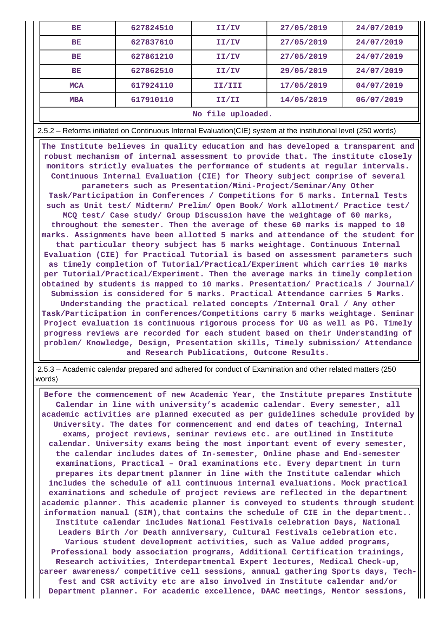| BE                                                                                                                                                                                                                                                                                                                                                                                                                                                                                                                                                                   | 627824510 | 27/05/2019<br>II/IV |                                                                                                                 | 24/07/2019 |  |  |  |
|----------------------------------------------------------------------------------------------------------------------------------------------------------------------------------------------------------------------------------------------------------------------------------------------------------------------------------------------------------------------------------------------------------------------------------------------------------------------------------------------------------------------------------------------------------------------|-----------|---------------------|-----------------------------------------------------------------------------------------------------------------|------------|--|--|--|
| BE                                                                                                                                                                                                                                                                                                                                                                                                                                                                                                                                                                   | 627837610 | II/IV               | 27/05/2019                                                                                                      | 24/07/2019 |  |  |  |
| BE                                                                                                                                                                                                                                                                                                                                                                                                                                                                                                                                                                   | 627861210 | II/IV               | 27/05/2019                                                                                                      | 24/07/2019 |  |  |  |
| BE                                                                                                                                                                                                                                                                                                                                                                                                                                                                                                                                                                   | 627862510 | II/IV               | 29/05/2019                                                                                                      | 24/07/2019 |  |  |  |
| <b>MCA</b>                                                                                                                                                                                                                                                                                                                                                                                                                                                                                                                                                           | 617924110 | II/III              | 17/05/2019                                                                                                      | 04/07/2019 |  |  |  |
| MBA                                                                                                                                                                                                                                                                                                                                                                                                                                                                                                                                                                  | 617910110 | II/II               | 14/05/2019                                                                                                      | 06/07/2019 |  |  |  |
|                                                                                                                                                                                                                                                                                                                                                                                                                                                                                                                                                                      |           | No file uploaded.   |                                                                                                                 |            |  |  |  |
|                                                                                                                                                                                                                                                                                                                                                                                                                                                                                                                                                                      |           |                     | 2.5.2 – Reforms initiated on Continuous Internal Evaluation (CIE) system at the institutional level (250 words) |            |  |  |  |
| The Institute believes in quality education and has developed a transparent and<br>robust mechanism of internal assessment to provide that. The institute closely<br>monitors strictly evaluates the performance of students at regular intervals.<br>Continuous Internal Evaluation (CIE) for Theory subject comprise of several<br>parameters such as Presentation/Mini-Project/Seminar/Any Other<br>Task/Participation in Conferences / Competitions for 5 marks. Internal Tests<br>such as Unit test/ Midterm/ Prelim/ Open Book/ Work allotment/ Practice test/ |           |                     |                                                                                                                 |            |  |  |  |

**MCQ test/ Case study/ Group Discussion have the weightage of 60 marks, throughout the semester. Then the average of these 60 marks is mapped to 10 marks. Assignments have been allotted 5 marks and attendance of the student for that particular theory subject has 5 marks weightage. Continuous Internal Evaluation (CIE) for Practical Tutorial is based on assessment parameters such as timely completion of Tutorial/Practical/Experiment which carries 10 marks per Tutorial/Practical/Experiment. Then the average marks in timely completion obtained by students is mapped to 10 marks. Presentation/ Practicals / Journal/ Submission is considered for 5 marks. Practical Attendance carries 5 Marks. Understanding the practical related concepts /Internal Oral / Any other Task/Participation in conferences/Competitions carry 5 marks weightage. Seminar Project evaluation is continuous rigorous process for UG as well as PG. Timely progress reviews are recorded for each student based on their Understanding of problem/ Knowledge, Design, Presentation skills, Timely submission/ Attendance and Research Publications, Outcome Results.**

 2.5.3 – Academic calendar prepared and adhered for conduct of Examination and other related matters (250 words)

 **Before the commencement of new Academic Year, the Institute prepares Institute Calendar in line with university's academic calendar. Every semester, all academic activities are planned executed as per guidelines schedule provided by University. The dates for commencement and end dates of teaching, Internal exams, project reviews, seminar reviews etc. are outlined in Institute calendar. University exams being the most important event of every semester, the calendar includes dates of In-semester, Online phase and End-semester examinations, Practical – Oral examinations etc. Every department in turn prepares its department planner in line with the Institute calendar which includes the schedule of all continuous internal evaluations. Mock practical examinations and schedule of project reviews are reflected in the department academic planner. This academic planner is conveyed to students through student information manual (SIM),that contains the schedule of CIE in the department.. Institute calendar includes National Festivals celebration Days, National Leaders Birth /or Death anniversary, Cultural Festivals celebration etc. Various student development activities, such as Value added programs, Professional body association programs, Additional Certification trainings, Research activities, Interdepartmental Expert lectures, Medical Check-up, career awareness/ competitive cell sessions, annual gathering Sports days, Techfest and CSR activity etc are also involved in Institute calendar and/or Department planner. For academic excellence, DAAC meetings, Mentor sessions,**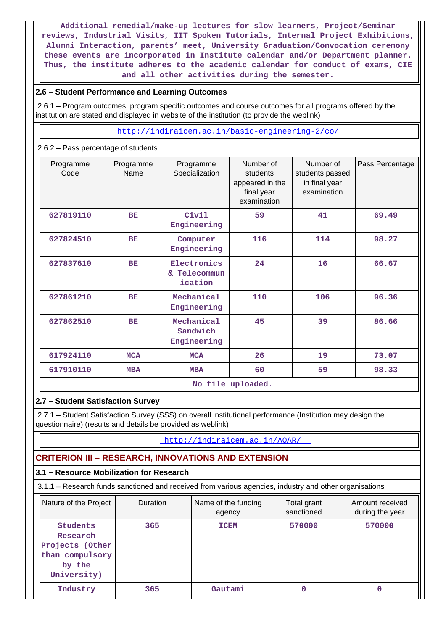**Additional remedial/make-up lectures for slow learners, Project/Seminar reviews, Industrial Visits, IIT Spoken Tutorials, Internal Project Exhibitions, Alumni Interaction, parents' meet, University Graduation/Convocation ceremony these events are incorporated in Institute calendar and/or Department planner. Thus, the institute adheres to the academic calendar for conduct of exams, CIE and all other activities during the semester.**

## **2.6 – Student Performance and Learning Outcomes**

 2.6.1 – Program outcomes, program specific outcomes and course outcomes for all programs offered by the institution are stated and displayed in website of the institution (to provide the weblink)

<http://indiraicem.ac.in/basic-engineering-2/co/>

### 2.6.2 – Pass percentage of students

| Programme<br>Code | Programme<br>Name | Programme<br>Specialization            | Number of<br>students<br>appeared in the<br>final year<br>examination | Number of<br>students passed<br>in final year<br>examination | Pass Percentage |  |  |  |  |  |
|-------------------|-------------------|----------------------------------------|-----------------------------------------------------------------------|--------------------------------------------------------------|-----------------|--|--|--|--|--|
| 627819110         | <b>BE</b>         | Civil<br>Engineering                   | 59                                                                    | 41                                                           | 69.49           |  |  |  |  |  |
| 627824510         | <b>BE</b>         | Computer<br>Engineering                | 116                                                                   | 114                                                          | 98.27           |  |  |  |  |  |
| 627837610         | <b>BE</b>         | Electronics<br>& Telecommun<br>ication | 24                                                                    | 16                                                           | 66.67           |  |  |  |  |  |
| 627861210         | <b>BE</b>         | Mechanical<br>Engineering              | 110                                                                   | 106                                                          | 96.36           |  |  |  |  |  |
| 627862510         | <b>BE</b>         | Mechanical<br>Sandwich<br>Engineering  | 45                                                                    | 39                                                           | 86.66           |  |  |  |  |  |
| 617924110         | <b>MCA</b>        | <b>MCA</b>                             | 26                                                                    | 19                                                           | 73.07           |  |  |  |  |  |
| 617910110         | <b>MBA</b>        | <b>MBA</b>                             | 60                                                                    | 59                                                           | 98.33           |  |  |  |  |  |
|                   | No file uploaded. |                                        |                                                                       |                                                              |                 |  |  |  |  |  |

### **2.7 – Student Satisfaction Survey**

 2.7.1 – Student Satisfaction Survey (SSS) on overall institutional performance (Institution may design the questionnaire) (results and details be provided as weblink)

### <http://indiraicem.ac.in/AQAR/>

## **CRITERION III – RESEARCH, INNOVATIONS AND EXTENSION**

### **3.1 – Resource Mobilization for Research**

3.1.1 – Research funds sanctioned and received from various agencies, industry and other organisations

| Nature of the Project                                                               | Duration | Name of the funding<br>agency | Total grant<br>sanctioned | Amount received<br>during the year |
|-------------------------------------------------------------------------------------|----------|-------------------------------|---------------------------|------------------------------------|
| Students<br>Research<br>Projects (Other<br>than compulsory<br>by the<br>University) | 365      | <b>ICEM</b>                   | 570000                    | 570000                             |
| Industry                                                                            | 365      | Gautami                       |                           |                                    |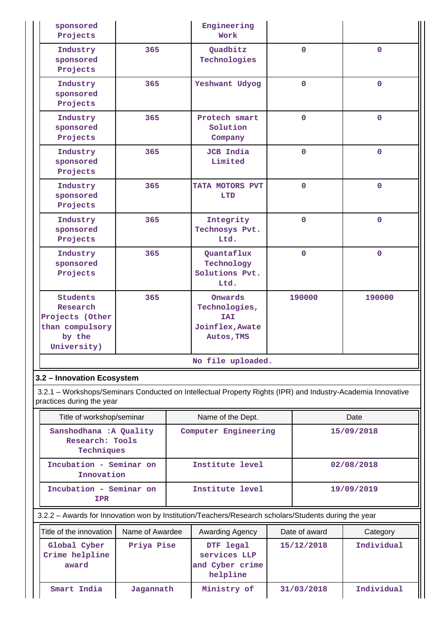| sponsored<br>Projects                                                               |     | Engineering<br>Work                                                     |                |                |
|-------------------------------------------------------------------------------------|-----|-------------------------------------------------------------------------|----------------|----------------|
| Industry<br>sponsored<br>Projects                                                   | 365 | Quadbitz<br>Technologies                                                | $\overline{0}$ | $\overline{0}$ |
| Industry<br>sponsored<br>Projects                                                   | 365 | Yeshwant Udyog                                                          | $\mathbf 0$    | $\overline{0}$ |
| Industry<br>sponsored<br>Projects                                                   | 365 | Protech smart<br>Solution<br>Company                                    | $\mathbf 0$    | $\Omega$       |
| Industry<br>sponsored<br>Projects                                                   | 365 | <b>JCB</b> India<br>Limited                                             | $\overline{0}$ | $\overline{0}$ |
| Industry<br>sponsored<br>Projects                                                   | 365 | TATA MOTORS PVT<br><b>LTD</b>                                           | $\mathbf 0$    | $\overline{0}$ |
| Industry<br>sponsored<br>Projects                                                   | 365 | Integrity<br>Technosys Pvt.<br>Ltd.                                     | $\mathbf 0$    | $\Omega$       |
| Industry<br>sponsored<br>Projects                                                   | 365 | Quantaflux<br>Technology<br>Solutions Pvt.<br>Ltd.                      | $\overline{0}$ | $\mathbf 0$    |
| Students<br>Research<br>Projects (Other<br>than compulsory<br>by the<br>University) | 365 | Onwards<br>Technologies,<br><b>TAT</b><br>Joinflex, Awate<br>Autos, TMS | 190000         | 190000         |
|                                                                                     |     | No file uploaded.                                                       |                |                |

## **3.2 – Innovation Ecosystem**

 3.2.1 – Workshops/Seminars Conducted on Intellectual Property Rights (IPR) and Industry-Academia Innovative practices during the year

| Title of workshop/seminar                                | Name of the Dept.    | Date       |  |  |
|----------------------------------------------------------|----------------------|------------|--|--|
| Sanshodhana : A Quality<br>Research: Tools<br>Techniques | Computer Engineering | 15/09/2018 |  |  |
| Incubation - Seminar on<br>Innovation                    | Institute level      | 02/08/2018 |  |  |
| Incubation - Seminar on<br><b>IPR</b>                    | Institute level      | 19/09/2019 |  |  |

3.2.2 – Awards for Innovation won by Institution/Teachers/Research scholars/Students during the year

| Title of the innovation                 | Name of Awardee | Awarding Agency                                          | Date of award | Category   |
|-----------------------------------------|-----------------|----------------------------------------------------------|---------------|------------|
| Global Cyber<br>Crime helpline<br>award | Priya Pise      | DTF legal<br>services LLP<br>and Cyber crime<br>helpline | 15/12/2018    | Individual |
| Smart India                             | Jagannath       | Ministry of                                              | 31/03/2018    | Individual |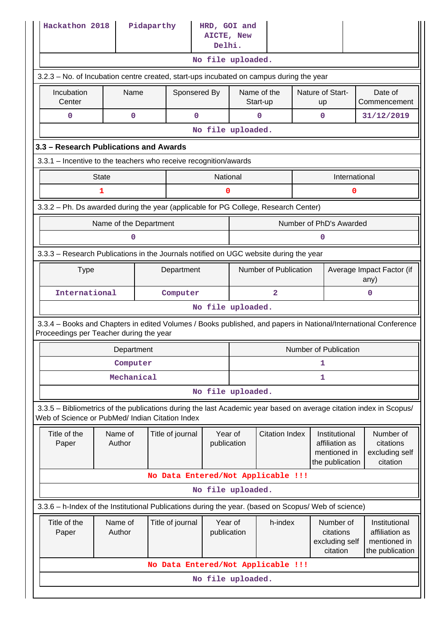| Hackathon 2018<br>Pidaparthy<br>HRD, GOI and<br>AICTE, New<br>Delhi.                                                                                                  |                                                                                         |  |                                            |                        |                       |                                    |  |                                                                    |                                                                    |  |
|-----------------------------------------------------------------------------------------------------------------------------------------------------------------------|-----------------------------------------------------------------------------------------|--|--------------------------------------------|------------------------|-----------------------|------------------------------------|--|--------------------------------------------------------------------|--------------------------------------------------------------------|--|
|                                                                                                                                                                       |                                                                                         |  |                                            |                        | No file uploaded.     |                                    |  |                                                                    |                                                                    |  |
|                                                                                                                                                                       | 3.2.3 – No. of Incubation centre created, start-ups incubated on campus during the year |  |                                            |                        |                       |                                    |  |                                                                    |                                                                    |  |
| Incubation<br>Center                                                                                                                                                  | Name                                                                                    |  | Sponsered By                               |                        |                       | Name of the<br>Start-up            |  | Nature of Start-<br>up                                             | Date of<br>Commencement                                            |  |
| 0                                                                                                                                                                     | 0                                                                                       |  | $\mathbf 0$                                |                        |                       | 0                                  |  | $\mathbf 0$                                                        | 31/12/2019                                                         |  |
|                                                                                                                                                                       |                                                                                         |  |                                            |                        | No file uploaded.     |                                    |  |                                                                    |                                                                    |  |
| 3.3 - Research Publications and Awards                                                                                                                                |                                                                                         |  |                                            |                        |                       |                                    |  |                                                                    |                                                                    |  |
| 3.3.1 – Incentive to the teachers who receive recognition/awards                                                                                                      |                                                                                         |  |                                            |                        |                       |                                    |  |                                                                    |                                                                    |  |
|                                                                                                                                                                       | <b>State</b>                                                                            |  |                                            | National               |                       |                                    |  | International                                                      |                                                                    |  |
|                                                                                                                                                                       | 1                                                                                       |  |                                            | 0                      |                       |                                    |  | 0                                                                  |                                                                    |  |
| 3.3.2 - Ph. Ds awarded during the year (applicable for PG College, Research Center)                                                                                   |                                                                                         |  |                                            |                        |                       |                                    |  |                                                                    |                                                                    |  |
|                                                                                                                                                                       | Name of the Department                                                                  |  |                                            |                        |                       |                                    |  | Number of PhD's Awarded                                            |                                                                    |  |
|                                                                                                                                                                       | 0                                                                                       |  |                                            |                        |                       |                                    |  |                                                                    |                                                                    |  |
| 3.3.3 - Research Publications in the Journals notified on UGC website during the year                                                                                 |                                                                                         |  |                                            |                        |                       |                                    |  |                                                                    |                                                                    |  |
| <b>Type</b>                                                                                                                                                           |                                                                                         |  | Department                                 |                        | Number of Publication |                                    |  |                                                                    | Average Impact Factor (if<br>any)                                  |  |
| International                                                                                                                                                         |                                                                                         |  | Computer                                   |                        | $\overline{a}$        |                                    |  |                                                                    | $\mathbf 0$                                                        |  |
|                                                                                                                                                                       |                                                                                         |  |                                            |                        | No file uploaded.     |                                    |  |                                                                    |                                                                    |  |
| 3.3.4 - Books and Chapters in edited Volumes / Books published, and papers in National/International Conference<br>Proceedings per Teacher during the year            |                                                                                         |  |                                            |                        |                       |                                    |  |                                                                    |                                                                    |  |
|                                                                                                                                                                       | Department                                                                              |  |                                            |                        |                       |                                    |  | <b>Number of Publication</b>                                       |                                                                    |  |
|                                                                                                                                                                       | Computer                                                                                |  |                                            |                        | 1                     |                                    |  |                                                                    |                                                                    |  |
|                                                                                                                                                                       | Mechanical                                                                              |  |                                            |                        |                       |                                    |  | 1                                                                  |                                                                    |  |
|                                                                                                                                                                       |                                                                                         |  |                                            |                        | No file uploaded.     |                                    |  |                                                                    |                                                                    |  |
| 3.3.5 - Bibliometrics of the publications during the last Academic year based on average citation index in Scopus/<br>Web of Science or PubMed/ Indian Citation Index |                                                                                         |  |                                            |                        |                       |                                    |  |                                                                    |                                                                    |  |
| Title of the<br>Paper                                                                                                                                                 | Name of<br>Author                                                                       |  | Year of<br>Title of journal<br>publication |                        |                       | <b>Citation Index</b>              |  | Institutional<br>affiliation as<br>mentioned in<br>the publication | Number of<br>citations<br>excluding self<br>citation               |  |
|                                                                                                                                                                       |                                                                                         |  |                                            |                        |                       | No Data Entered/Not Applicable !!! |  |                                                                    |                                                                    |  |
|                                                                                                                                                                       |                                                                                         |  |                                            |                        | No file uploaded.     |                                    |  |                                                                    |                                                                    |  |
| 3.3.6 - h-Index of the Institutional Publications during the year. (based on Scopus/ Web of science)                                                                  |                                                                                         |  |                                            |                        |                       |                                    |  |                                                                    |                                                                    |  |
| Title of the<br>Paper                                                                                                                                                 | Name of<br>Author                                                                       |  | Title of journal                           | Year of<br>publication |                       | h-index                            |  | Number of<br>citations<br>excluding self<br>citation               | Institutional<br>affiliation as<br>mentioned in<br>the publication |  |
|                                                                                                                                                                       |                                                                                         |  |                                            |                        |                       | No Data Entered/Not Applicable !!! |  |                                                                    |                                                                    |  |
|                                                                                                                                                                       | No file uploaded.                                                                       |  |                                            |                        |                       |                                    |  |                                                                    |                                                                    |  |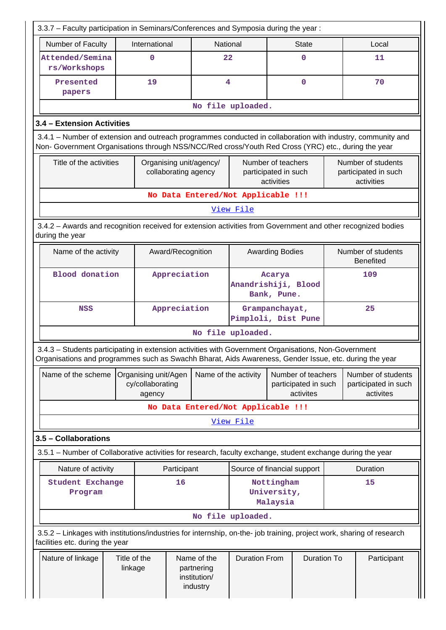| 3.3.7 - Faculty participation in Seminars/Conferences and Symposia during the year:                                                                                                                                |                                                    |                                                       |                                    |                                                                                 |                                       |              |                                                          |          |  |
|--------------------------------------------------------------------------------------------------------------------------------------------------------------------------------------------------------------------|----------------------------------------------------|-------------------------------------------------------|------------------------------------|---------------------------------------------------------------------------------|---------------------------------------|--------------|----------------------------------------------------------|----------|--|
| Number of Faculty<br>International<br>National                                                                                                                                                                     |                                                    |                                                       |                                    |                                                                                 |                                       | <b>State</b> |                                                          | Local    |  |
| Attended/Semina<br>rs/Workshops                                                                                                                                                                                    | $\mathbf 0$                                        |                                                       |                                    | 22                                                                              |                                       | $\mathbf 0$  |                                                          | 11       |  |
| Presented<br>papers                                                                                                                                                                                                | 19                                                 |                                                       | 4                                  |                                                                                 |                                       | $\mathbf 0$  |                                                          | 70       |  |
|                                                                                                                                                                                                                    | No file uploaded.                                  |                                                       |                                    |                                                                                 |                                       |              |                                                          |          |  |
| 3.4 - Extension Activities                                                                                                                                                                                         |                                                    |                                                       |                                    |                                                                                 |                                       |              |                                                          |          |  |
| 3.4.1 – Number of extension and outreach programmes conducted in collaboration with industry, community and<br>Non- Government Organisations through NSS/NCC/Red cross/Youth Red Cross (YRC) etc., during the year |                                                    |                                                       |                                    |                                                                                 |                                       |              |                                                          |          |  |
| Title of the activities                                                                                                                                                                                            |                                                    | collaborating agency                                  | Organising unit/agency/            | Number of teachers<br>participated in such<br>activities                        |                                       |              | Number of students<br>participated in such<br>activities |          |  |
|                                                                                                                                                                                                                    |                                                    |                                                       | No Data Entered/Not Applicable !!! |                                                                                 |                                       |              |                                                          |          |  |
|                                                                                                                                                                                                                    |                                                    |                                                       |                                    | View File                                                                       |                                       |              |                                                          |          |  |
| 3.4.2 - Awards and recognition received for extension activities from Government and other recognized bodies<br>during the year                                                                                    |                                                    |                                                       |                                    |                                                                                 |                                       |              |                                                          |          |  |
| Name of the activity                                                                                                                                                                                               |                                                    | Award/Recognition                                     |                                    |                                                                                 | <b>Awarding Bodies</b>                |              | Number of students<br><b>Benefited</b>                   |          |  |
| <b>Blood</b> donation                                                                                                                                                                                              | Appreciation                                       |                                                       |                                    | Acarya<br>Anandrishiji, Blood<br>Bank, Pune.                                    |                                       | 109          |                                                          |          |  |
| <b>NSS</b>                                                                                                                                                                                                         |                                                    | Appreciation                                          |                                    | Grampanchayat,<br>Pimploli, Dist Pune                                           |                                       |              |                                                          | 25       |  |
|                                                                                                                                                                                                                    |                                                    |                                                       |                                    | No file uploaded.                                                               |                                       |              |                                                          |          |  |
| 3.4.3 - Students participating in extension activities with Government Organisations, Non-Government<br>Organisations and programmes such as Swachh Bharat, Aids Awareness, Gender Issue, etc. during the year     |                                                    |                                                       |                                    |                                                                                 |                                       |              |                                                          |          |  |
| Name of the scheme                                                                                                                                                                                                 | Organising unit/Agen<br>cy/collaborating<br>agency |                                                       |                                    | Number of teachers<br>Name of the activity<br>participated in such<br>activites |                                       |              | Number of students<br>participated in such<br>activites  |          |  |
|                                                                                                                                                                                                                    |                                                    |                                                       | No Data Entered/Not Applicable !!! |                                                                                 |                                       |              |                                                          |          |  |
|                                                                                                                                                                                                                    |                                                    |                                                       |                                    | View File                                                                       |                                       |              |                                                          |          |  |
| 3.5 - Collaborations                                                                                                                                                                                               |                                                    |                                                       |                                    |                                                                                 |                                       |              |                                                          |          |  |
| 3.5.1 – Number of Collaborative activities for research, faculty exchange, student exchange during the year                                                                                                        |                                                    |                                                       |                                    |                                                                                 |                                       |              |                                                          |          |  |
| Nature of activity                                                                                                                                                                                                 |                                                    | Participant                                           |                                    | Source of financial support                                                     |                                       |              |                                                          | Duration |  |
| <b>Student Exchange</b><br>Program                                                                                                                                                                                 |                                                    | 16                                                    |                                    |                                                                                 | Nottingham<br>University,<br>Malaysia |              |                                                          | 15       |  |
|                                                                                                                                                                                                                    |                                                    |                                                       |                                    | No file uploaded.                                                               |                                       |              |                                                          |          |  |
| 3.5.2 - Linkages with institutions/industries for internship, on-the- job training, project work, sharing of research<br>facilities etc. during the year                                                           |                                                    |                                                       |                                    |                                                                                 |                                       |              |                                                          |          |  |
| Nature of linkage<br>Title of the<br>linkage                                                                                                                                                                       |                                                    | Name of the<br>partnering<br>institution/<br>industry | <b>Duration From</b>               |                                                                                 | <b>Duration To</b>                    |              | Participant                                              |          |  |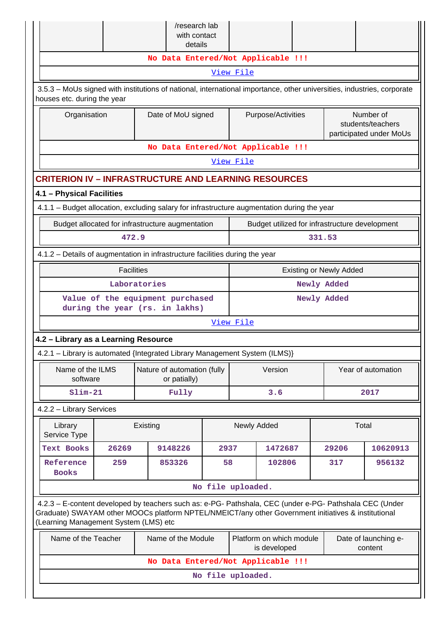|                                                                                                                                                                                                                                                         |                                                                                                                                                       |              | /research lab<br>with contact               |                   |                                                                             |                                    |                    |                                                           |                                                |
|---------------------------------------------------------------------------------------------------------------------------------------------------------------------------------------------------------------------------------------------------------|-------------------------------------------------------------------------------------------------------------------------------------------------------|--------------|---------------------------------------------|-------------------|-----------------------------------------------------------------------------|------------------------------------|--------------------|-----------------------------------------------------------|------------------------------------------------|
|                                                                                                                                                                                                                                                         |                                                                                                                                                       |              | details                                     |                   |                                                                             | No Data Entered/Not Applicable !!! |                    |                                                           |                                                |
|                                                                                                                                                                                                                                                         |                                                                                                                                                       |              |                                             |                   | View File                                                                   |                                    |                    |                                                           |                                                |
|                                                                                                                                                                                                                                                         | 3.5.3 – MoUs signed with institutions of national, international importance, other universities, industries, corporate<br>houses etc. during the year |              |                                             |                   |                                                                             |                                    |                    |                                                           |                                                |
|                                                                                                                                                                                                                                                         | Organisation<br>Date of MoU signed                                                                                                                    |              |                                             |                   | Purpose/Activities                                                          |                                    |                    | Number of<br>students/teachers<br>participated under MoUs |                                                |
|                                                                                                                                                                                                                                                         | No Data Entered/Not Applicable !!!                                                                                                                    |              |                                             |                   |                                                                             |                                    |                    |                                                           |                                                |
|                                                                                                                                                                                                                                                         |                                                                                                                                                       |              |                                             |                   | View File                                                                   |                                    |                    |                                                           |                                                |
| <b>CRITERION IV - INFRASTRUCTURE AND LEARNING RESOURCES</b>                                                                                                                                                                                             |                                                                                                                                                       |              |                                             |                   |                                                                             |                                    |                    |                                                           |                                                |
| 4.1 - Physical Facilities                                                                                                                                                                                                                               |                                                                                                                                                       |              |                                             |                   |                                                                             |                                    |                    |                                                           |                                                |
| 4.1.1 - Budget allocation, excluding salary for infrastructure augmentation during the year                                                                                                                                                             |                                                                                                                                                       |              |                                             |                   |                                                                             |                                    |                    |                                                           |                                                |
| Budget allocated for infrastructure augmentation                                                                                                                                                                                                        |                                                                                                                                                       |              |                                             |                   |                                                                             |                                    |                    |                                                           | Budget utilized for infrastructure development |
|                                                                                                                                                                                                                                                         | 472.9                                                                                                                                                 |              |                                             |                   |                                                                             |                                    | 331.53             |                                                           |                                                |
| 4.1.2 - Details of augmentation in infrastructure facilities during the year                                                                                                                                                                            |                                                                                                                                                       |              |                                             |                   |                                                                             |                                    |                    |                                                           |                                                |
|                                                                                                                                                                                                                                                         | <b>Facilities</b><br><b>Existing or Newly Added</b>                                                                                                   |              |                                             |                   |                                                                             |                                    |                    |                                                           |                                                |
|                                                                                                                                                                                                                                                         |                                                                                                                                                       | Laboratories |                                             |                   | Newly Added                                                                 |                                    |                    |                                                           |                                                |
|                                                                                                                                                                                                                                                         | Value of the equipment purchased<br>during the year (rs. in lakhs)                                                                                    |              |                                             |                   | Newly Added                                                                 |                                    |                    |                                                           |                                                |
|                                                                                                                                                                                                                                                         |                                                                                                                                                       |              |                                             |                   | View File                                                                   |                                    |                    |                                                           |                                                |
| 4.2 - Library as a Learning Resource                                                                                                                                                                                                                    |                                                                                                                                                       |              |                                             |                   |                                                                             |                                    |                    |                                                           |                                                |
| 4.2.1 - Library is automated {Integrated Library Management System (ILMS)}                                                                                                                                                                              |                                                                                                                                                       |              |                                             |                   |                                                                             |                                    |                    |                                                           |                                                |
| Name of the ILMS<br>software                                                                                                                                                                                                                            |                                                                                                                                                       |              | Nature of automation (fully<br>or patially) |                   | Version                                                                     |                                    | Year of automation |                                                           |                                                |
| $Slim-21$                                                                                                                                                                                                                                               |                                                                                                                                                       |              | Fully                                       |                   | 3.6                                                                         |                                    | 2017               |                                                           |                                                |
| 4.2.2 - Library Services                                                                                                                                                                                                                                |                                                                                                                                                       |              |                                             |                   |                                                                             |                                    |                    |                                                           |                                                |
| Library<br>Service Type                                                                                                                                                                                                                                 |                                                                                                                                                       | Existing     |                                             |                   | Newly Added                                                                 |                                    |                    |                                                           | Total                                          |
| Text Books                                                                                                                                                                                                                                              | 26269                                                                                                                                                 |              | 9148226                                     | 2937              |                                                                             | 1472687                            |                    | 29206                                                     | 10620913                                       |
| Reference<br><b>Books</b>                                                                                                                                                                                                                               | 259                                                                                                                                                   |              | 853326                                      | 58                |                                                                             | 102806                             |                    | 317                                                       | 956132                                         |
|                                                                                                                                                                                                                                                         |                                                                                                                                                       |              |                                             | No file uploaded. |                                                                             |                                    |                    |                                                           |                                                |
| 4.2.3 - E-content developed by teachers such as: e-PG- Pathshala, CEC (under e-PG- Pathshala CEC (Under<br>Graduate) SWAYAM other MOOCs platform NPTEL/NMEICT/any other Government initiatives & institutional<br>(Learning Management System (LMS) etc |                                                                                                                                                       |              |                                             |                   |                                                                             |                                    |                    |                                                           |                                                |
| Name of the Teacher                                                                                                                                                                                                                                     |                                                                                                                                                       |              | Name of the Module                          |                   | Platform on which module<br>Date of launching e-<br>is developed<br>content |                                    |                    |                                                           |                                                |
|                                                                                                                                                                                                                                                         |                                                                                                                                                       |              |                                             |                   |                                                                             | No Data Entered/Not Applicable !!! |                    |                                                           |                                                |
|                                                                                                                                                                                                                                                         |                                                                                                                                                       |              |                                             | No file uploaded. |                                                                             |                                    |                    |                                                           |                                                |
|                                                                                                                                                                                                                                                         |                                                                                                                                                       |              |                                             |                   |                                                                             |                                    |                    |                                                           |                                                |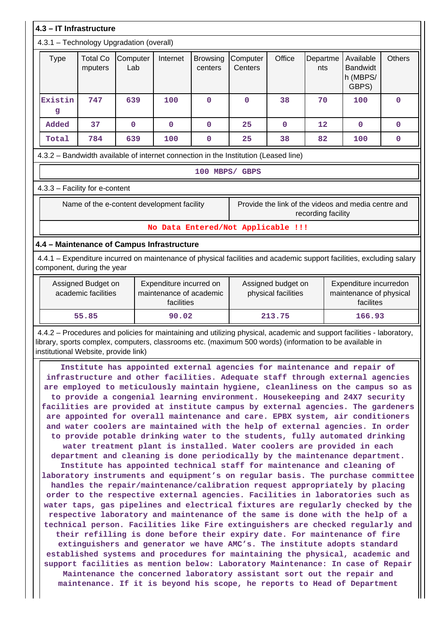|              |                                            | 4.3.1 - Technology Upgradation (overall) |                                                                  |                            |                                                                                     |             |                    |                                                                                                                                                                                                                                                                                                             |               |
|--------------|--------------------------------------------|------------------------------------------|------------------------------------------------------------------|----------------------------|-------------------------------------------------------------------------------------|-------------|--------------------|-------------------------------------------------------------------------------------------------------------------------------------------------------------------------------------------------------------------------------------------------------------------------------------------------------------|---------------|
| <b>Type</b>  | <b>Total Co</b><br>mputers                 | Computer<br>Lab                          | Internet                                                         | <b>Browsing</b><br>centers | Computer<br>Centers                                                                 | Office      | Departme<br>nts    | Available<br><b>Bandwidt</b><br>h (MBPS/<br>GBPS)                                                                                                                                                                                                                                                           | <b>Others</b> |
| Existin<br>g | 747                                        | 639                                      | 100                                                              | $\mathbf 0$                | $\mathbf 0$                                                                         | 38          | 70                 | 100                                                                                                                                                                                                                                                                                                         | 0             |
| Added        | 37                                         | $\mathbf 0$                              | $\mathbf 0$                                                      | $\mathbf 0$                | 25                                                                                  | $\mathbf 0$ | 12                 | $\mathbf 0$                                                                                                                                                                                                                                                                                                 | 0             |
| Total        | 784                                        | 639                                      | 100                                                              | $\mathbf 0$                | 25                                                                                  | 38          | 82                 | 100                                                                                                                                                                                                                                                                                                         | $\mathbf 0$   |
|              |                                            |                                          |                                                                  |                            | 4.3.2 - Bandwidth available of internet connection in the Institution (Leased line) |             |                    |                                                                                                                                                                                                                                                                                                             |               |
|              |                                            |                                          |                                                                  |                            | 100 MBPS/ GBPS                                                                      |             |                    |                                                                                                                                                                                                                                                                                                             |               |
|              | 4.3.3 - Facility for e-content             |                                          |                                                                  |                            |                                                                                     |             |                    |                                                                                                                                                                                                                                                                                                             |               |
|              | Name of the e-content development facility |                                          |                                                                  |                            |                                                                                     |             | recording facility | Provide the link of the videos and media centre and                                                                                                                                                                                                                                                         |               |
|              |                                            |                                          |                                                                  |                            | No Data Entered/Not Applicable !!!                                                  |             |                    |                                                                                                                                                                                                                                                                                                             |               |
|              | 4.4 - Maintenance of Campus Infrastructure |                                          |                                                                  |                            |                                                                                     |             |                    |                                                                                                                                                                                                                                                                                                             |               |
|              | component, during the year                 |                                          |                                                                  |                            |                                                                                     |             |                    | 4.4.1 – Expenditure incurred on maintenance of physical facilities and academic support facilities, excluding salary                                                                                                                                                                                        |               |
|              | Assigned Budget on<br>academic facilities  |                                          | Expenditure incurred on<br>maintenance of academic<br>facilities |                            | Assigned budget on<br>physical facilities                                           |             |                    | Expenditure incurredon<br>maintenance of physical<br>facilites                                                                                                                                                                                                                                              |               |
| 55.85        |                                            |                                          |                                                                  |                            | 213.75                                                                              |             |                    |                                                                                                                                                                                                                                                                                                             |               |
|              |                                            |                                          | 90.02                                                            |                            |                                                                                     |             |                    | 166.93                                                                                                                                                                                                                                                                                                      |               |
|              | institutional Website, provide link)       |                                          |                                                                  |                            |                                                                                     |             |                    | 4.4.2 - Procedures and policies for maintaining and utilizing physical, academic and support facilities - laboratory,<br>library, sports complex, computers, classrooms etc. (maximum 500 words) (information to be available in<br>Institute has appointed external agencies for maintenance and repair of |               |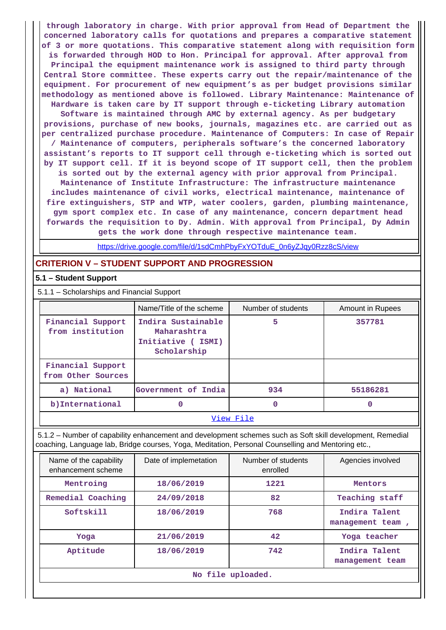**through laboratory in charge. With prior approval from Head of Department the concerned laboratory calls for quotations and prepares a comparative statement of 3 or more quotations. This comparative statement along with requisition form is forwarded through HOD to Hon. Principal for approval. After approval from Principal the equipment maintenance work is assigned to third party through Central Store committee. These experts carry out the repair/maintenance of the equipment. For procurement of new equipment's as per budget provisions similar methodology as mentioned above is followed. Library Maintenance: Maintenance of Hardware is taken care by IT support through e-ticketing Library automation Software is maintained through AMC by external agency. As per budgetary provisions, purchase of new books, journals, magazines etc. are carried out as per centralized purchase procedure. Maintenance of Computers: In case of Repair / Maintenance of computers, peripherals software's the concerned laboratory assistant's reports to IT support cell through e-ticketing which is sorted out by IT support cell. If it is beyond scope of IT support cell, then the problem is sorted out by the external agency with prior approval from Principal. Maintenance of Institute Infrastructure: The infrastructure maintenance includes maintenance of civil works, electrical maintenance, maintenance of fire extinguishers, STP and WTP, water coolers, garden, plumbing maintenance, gym sport complex etc. In case of any maintenance, concern department head forwards the requisition to Dy. Admin. With approval from Principal, Dy Admin gets the work done through respective maintenance team.**

[https://drive.google.com/file/d/1sdCmhPbyFxYOTduE\\_0n6yZJqy0Rzz8cS/view](https://drive.google.com/file/d/1sdCmhPbyFxYOTduE_0n6yZJqy0Rzz8cS/view)

## **CRITERION V – STUDENT SUPPORT AND PROGRESSION**

## **5.1 – Student Support**

5.1.1 – Scholarships and Financial Support

|                                         | Name/Title of the scheme                                              | Number of students | Amount in Rupees |  |  |
|-----------------------------------------|-----------------------------------------------------------------------|--------------------|------------------|--|--|
| Financial Support<br>from institution   | Indira Sustainable<br>Maharashtra<br>Initiative (ISMI)<br>Scholarship | 5                  | 357781           |  |  |
| Financial Support<br>from Other Sources |                                                                       |                    |                  |  |  |
| a) National                             | Government of India                                                   | 934                | 55186281         |  |  |
| b) International                        | 0                                                                     | 0                  | 0                |  |  |
| View File                               |                                                                       |                    |                  |  |  |

 5.1.2 – Number of capability enhancement and development schemes such as Soft skill development, Remedial coaching, Language lab, Bridge courses, Yoga, Meditation, Personal Counselling and Mentoring etc.,

| Name of the capability<br>enhancement scheme | Date of implemetation | Number of students<br>enrolled | Agencies involved                 |  |  |
|----------------------------------------------|-----------------------|--------------------------------|-----------------------------------|--|--|
| Mentroing                                    | 18/06/2019            | 1221                           | Mentors                           |  |  |
| Remedial Coaching                            | 24/09/2018            | 82                             | Teaching staff                    |  |  |
| Softskill                                    | 18/06/2019            | 768                            | Indira Talent<br>management team, |  |  |
| Yoga                                         | 21/06/2019            | 42                             | Yoga teacher                      |  |  |
| Aptitude                                     | 18/06/2019            | 742                            | Indira Talent<br>management team  |  |  |
| No file uploaded.                            |                       |                                |                                   |  |  |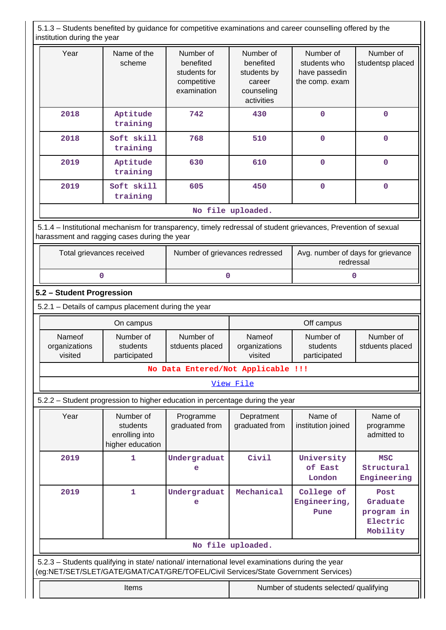5.1.3 – Students benefited by guidance for competitive examinations and career counselling offered by the institution during the year

| Year              | Name of the<br>scheme  | Number of<br>benefited<br>students for<br>competitive<br>examination | Number of<br>benefited<br>students by<br>career<br>counseling<br>activities | Number of<br>students who<br>have passedin<br>the comp. exam | Number of<br>studentsp placed |  |  |
|-------------------|------------------------|----------------------------------------------------------------------|-----------------------------------------------------------------------------|--------------------------------------------------------------|-------------------------------|--|--|
| 2018              | Aptitude<br>training   | 742                                                                  | 430                                                                         | $\mathbf 0$                                                  | $\mathbf 0$                   |  |  |
| 2018              | Soft skill<br>training | 768                                                                  | 510                                                                         | $\mathbf 0$                                                  | $\mathbf 0$                   |  |  |
| 2019              | Aptitude<br>training   | 630                                                                  | 610                                                                         | $\mathbf 0$                                                  | $\mathbf 0$                   |  |  |
| 2019              | Soft skill<br>training | 605                                                                  | 450                                                                         | $\mathbf 0$                                                  | $\Omega$                      |  |  |
| No file uploaded. |                        |                                                                      |                                                                             |                                                              |                               |  |  |

 5.1.4 – Institutional mechanism for transparency, timely redressal of student grievances, Prevention of sexual harassment and ragging cases during the year

| Total grievances received | Number of grievances redressed | Avg. number of days for grievance<br>redressal |
|---------------------------|--------------------------------|------------------------------------------------|
|                           |                                |                                                |

## **5.2 – Student Progression**

5.2.1 – Details of campus placement during the year

|                                    | On campus                             |                              |                                    | Off campus                            |                              |
|------------------------------------|---------------------------------------|------------------------------|------------------------------------|---------------------------------------|------------------------------|
| Nameof<br>organizations<br>visited | Number of<br>students<br>participated | Number of<br>stduents placed | Nameof<br>organizations<br>visited | Number of<br>students<br>participated | Number of<br>stduents placed |
| No Data Entered/Not Applicable !!! |                                       |                              |                                    |                                       |                              |

## [View File](https://assessmentonline.naac.gov.in/public/Postacc/Placement/4908_Placement_1584091361.xlsx)

5.2.2 – Student progression to higher education in percentage during the year

| Year                                                                                                                                                                                   | Number of<br>students<br>enrolling into<br>higher education | Programme<br>graduated from | Depratment<br>graduated from            | Name of<br>institution joined      | Name of<br>programme<br>admitted to                    |  |
|----------------------------------------------------------------------------------------------------------------------------------------------------------------------------------------|-------------------------------------------------------------|-----------------------------|-----------------------------------------|------------------------------------|--------------------------------------------------------|--|
| 2019                                                                                                                                                                                   | 1                                                           | Undergraduat<br>e           | Civil                                   | University<br>of East<br>London    | <b>MSC</b><br>Structural<br>Engineering                |  |
| 2019                                                                                                                                                                                   | 1.                                                          | Undergraduat<br>e           | Mechanical                              | College of<br>Engineering,<br>Pune | Post<br>Graduate<br>program in<br>Electric<br>Mobility |  |
| No file uploaded.                                                                                                                                                                      |                                                             |                             |                                         |                                    |                                                        |  |
| 5.2.3 – Students qualifying in state/ national/ international level examinations during the year<br>(eg:NET/SET/SLET/GATE/GMAT/CAT/GRE/TOFEL/Civil Services/State Government Services) |                                                             |                             |                                         |                                    |                                                        |  |
|                                                                                                                                                                                        | <b>Items</b>                                                |                             | Number of students selected/ qualifying |                                    |                                                        |  |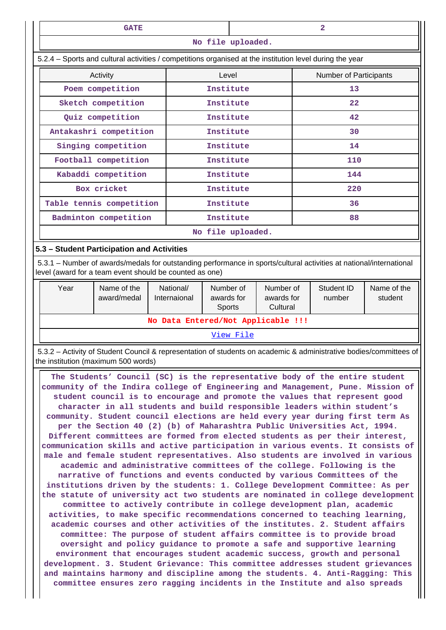| <b>GATE</b><br>$\mathbf{2}$                                                                                                                                                                                                                                                                                                                                                                                                                                                                                                                                                                                                                                                                                                                                                                                                                                                                                                                                                                                                                                                                                                                                                                                                                                                                                                                                                                                                                                                                                                                                                                                                                                                                                                                                                                                                                                                                                              |                                            |                                                                                                                                                                                |                                                                          |                               |    |                      |                        |
|--------------------------------------------------------------------------------------------------------------------------------------------------------------------------------------------------------------------------------------------------------------------------------------------------------------------------------------------------------------------------------------------------------------------------------------------------------------------------------------------------------------------------------------------------------------------------------------------------------------------------------------------------------------------------------------------------------------------------------------------------------------------------------------------------------------------------------------------------------------------------------------------------------------------------------------------------------------------------------------------------------------------------------------------------------------------------------------------------------------------------------------------------------------------------------------------------------------------------------------------------------------------------------------------------------------------------------------------------------------------------------------------------------------------------------------------------------------------------------------------------------------------------------------------------------------------------------------------------------------------------------------------------------------------------------------------------------------------------------------------------------------------------------------------------------------------------------------------------------------------------------------------------------------------------|--------------------------------------------|--------------------------------------------------------------------------------------------------------------------------------------------------------------------------------|--------------------------------------------------------------------------|-------------------------------|----|----------------------|------------------------|
| No file uploaded.                                                                                                                                                                                                                                                                                                                                                                                                                                                                                                                                                                                                                                                                                                                                                                                                                                                                                                                                                                                                                                                                                                                                                                                                                                                                                                                                                                                                                                                                                                                                                                                                                                                                                                                                                                                                                                                                                                        |                                            |                                                                                                                                                                                |                                                                          |                               |    |                      |                        |
| 5.2.4 - Sports and cultural activities / competitions organised at the institution level during the year                                                                                                                                                                                                                                                                                                                                                                                                                                                                                                                                                                                                                                                                                                                                                                                                                                                                                                                                                                                                                                                                                                                                                                                                                                                                                                                                                                                                                                                                                                                                                                                                                                                                                                                                                                                                                 |                                            |                                                                                                                                                                                |                                                                          |                               |    |                      |                        |
| Activity<br>Level                                                                                                                                                                                                                                                                                                                                                                                                                                                                                                                                                                                                                                                                                                                                                                                                                                                                                                                                                                                                                                                                                                                                                                                                                                                                                                                                                                                                                                                                                                                                                                                                                                                                                                                                                                                                                                                                                                        |                                            |                                                                                                                                                                                |                                                                          | <b>Number of Participants</b> |    |                      |                        |
|                                                                                                                                                                                                                                                                                                                                                                                                                                                                                                                                                                                                                                                                                                                                                                                                                                                                                                                                                                                                                                                                                                                                                                                                                                                                                                                                                                                                                                                                                                                                                                                                                                                                                                                                                                                                                                                                                                                          | Poem competition                           |                                                                                                                                                                                | Institute                                                                |                               | 13 |                      |                        |
|                                                                                                                                                                                                                                                                                                                                                                                                                                                                                                                                                                                                                                                                                                                                                                                                                                                                                                                                                                                                                                                                                                                                                                                                                                                                                                                                                                                                                                                                                                                                                                                                                                                                                                                                                                                                                                                                                                                          | Sketch competition                         |                                                                                                                                                                                | Institute                                                                |                               |    | 22                   |                        |
|                                                                                                                                                                                                                                                                                                                                                                                                                                                                                                                                                                                                                                                                                                                                                                                                                                                                                                                                                                                                                                                                                                                                                                                                                                                                                                                                                                                                                                                                                                                                                                                                                                                                                                                                                                                                                                                                                                                          | Quiz competition                           |                                                                                                                                                                                | Institute                                                                |                               | 42 |                      |                        |
|                                                                                                                                                                                                                                                                                                                                                                                                                                                                                                                                                                                                                                                                                                                                                                                                                                                                                                                                                                                                                                                                                                                                                                                                                                                                                                                                                                                                                                                                                                                                                                                                                                                                                                                                                                                                                                                                                                                          | Antakashri competition                     |                                                                                                                                                                                | Institute                                                                |                               |    | 30                   |                        |
|                                                                                                                                                                                                                                                                                                                                                                                                                                                                                                                                                                                                                                                                                                                                                                                                                                                                                                                                                                                                                                                                                                                                                                                                                                                                                                                                                                                                                                                                                                                                                                                                                                                                                                                                                                                                                                                                                                                          | Singing competition                        |                                                                                                                                                                                | Institute                                                                |                               |    | 14                   |                        |
|                                                                                                                                                                                                                                                                                                                                                                                                                                                                                                                                                                                                                                                                                                                                                                                                                                                                                                                                                                                                                                                                                                                                                                                                                                                                                                                                                                                                                                                                                                                                                                                                                                                                                                                                                                                                                                                                                                                          | Football competition                       |                                                                                                                                                                                | Institute                                                                |                               |    | 110                  |                        |
|                                                                                                                                                                                                                                                                                                                                                                                                                                                                                                                                                                                                                                                                                                                                                                                                                                                                                                                                                                                                                                                                                                                                                                                                                                                                                                                                                                                                                                                                                                                                                                                                                                                                                                                                                                                                                                                                                                                          | Kabaddi competition                        |                                                                                                                                                                                | Institute                                                                |                               |    | 144                  |                        |
|                                                                                                                                                                                                                                                                                                                                                                                                                                                                                                                                                                                                                                                                                                                                                                                                                                                                                                                                                                                                                                                                                                                                                                                                                                                                                                                                                                                                                                                                                                                                                                                                                                                                                                                                                                                                                                                                                                                          | Box cricket                                |                                                                                                                                                                                | Institute                                                                |                               |    | 220                  |                        |
|                                                                                                                                                                                                                                                                                                                                                                                                                                                                                                                                                                                                                                                                                                                                                                                                                                                                                                                                                                                                                                                                                                                                                                                                                                                                                                                                                                                                                                                                                                                                                                                                                                                                                                                                                                                                                                                                                                                          | Table tennis competition                   |                                                                                                                                                                                | Institute                                                                |                               |    | 36                   |                        |
|                                                                                                                                                                                                                                                                                                                                                                                                                                                                                                                                                                                                                                                                                                                                                                                                                                                                                                                                                                                                                                                                                                                                                                                                                                                                                                                                                                                                                                                                                                                                                                                                                                                                                                                                                                                                                                                                                                                          | Badminton competition                      |                                                                                                                                                                                | Institute                                                                |                               |    | 88                   |                        |
|                                                                                                                                                                                                                                                                                                                                                                                                                                                                                                                                                                                                                                                                                                                                                                                                                                                                                                                                                                                                                                                                                                                                                                                                                                                                                                                                                                                                                                                                                                                                                                                                                                                                                                                                                                                                                                                                                                                          |                                            |                                                                                                                                                                                | No file uploaded.                                                        |                               |    |                      |                        |
|                                                                                                                                                                                                                                                                                                                                                                                                                                                                                                                                                                                                                                                                                                                                                                                                                                                                                                                                                                                                                                                                                                                                                                                                                                                                                                                                                                                                                                                                                                                                                                                                                                                                                                                                                                                                                                                                                                                          | 5.3 - Student Participation and Activities |                                                                                                                                                                                |                                                                          |                               |    |                      |                        |
|                                                                                                                                                                                                                                                                                                                                                                                                                                                                                                                                                                                                                                                                                                                                                                                                                                                                                                                                                                                                                                                                                                                                                                                                                                                                                                                                                                                                                                                                                                                                                                                                                                                                                                                                                                                                                                                                                                                          |                                            | 5.3.1 - Number of awards/medals for outstanding performance in sports/cultural activities at national/international<br>level (award for a team event should be counted as one) |                                                                          |                               |    |                      |                        |
| Year                                                                                                                                                                                                                                                                                                                                                                                                                                                                                                                                                                                                                                                                                                                                                                                                                                                                                                                                                                                                                                                                                                                                                                                                                                                                                                                                                                                                                                                                                                                                                                                                                                                                                                                                                                                                                                                                                                                     | Name of the<br>award/medal                 | National/<br>Internaional                                                                                                                                                      | Number of<br>Number of<br>awards for<br>awards for<br>Sports<br>Cultural |                               |    | Student ID<br>number | Name of the<br>student |
|                                                                                                                                                                                                                                                                                                                                                                                                                                                                                                                                                                                                                                                                                                                                                                                                                                                                                                                                                                                                                                                                                                                                                                                                                                                                                                                                                                                                                                                                                                                                                                                                                                                                                                                                                                                                                                                                                                                          |                                            |                                                                                                                                                                                |                                                                          |                               |    |                      |                        |
|                                                                                                                                                                                                                                                                                                                                                                                                                                                                                                                                                                                                                                                                                                                                                                                                                                                                                                                                                                                                                                                                                                                                                                                                                                                                                                                                                                                                                                                                                                                                                                                                                                                                                                                                                                                                                                                                                                                          |                                            |                                                                                                                                                                                | View File                                                                |                               |    |                      |                        |
|                                                                                                                                                                                                                                                                                                                                                                                                                                                                                                                                                                                                                                                                                                                                                                                                                                                                                                                                                                                                                                                                                                                                                                                                                                                                                                                                                                                                                                                                                                                                                                                                                                                                                                                                                                                                                                                                                                                          |                                            |                                                                                                                                                                                |                                                                          |                               |    |                      |                        |
| No Data Entered/Not Applicable !!!<br>5.3.2 - Activity of Student Council & representation of students on academic & administrative bodies/committees of<br>the institution (maximum 500 words)<br>The Students' Council (SC) is the representative body of the entire student<br>community of the Indira college of Engineering and Management, Pune. Mission of<br>student council is to encourage and promote the values that represent good<br>character in all students and build responsible leaders within student's<br>community. Student council elections are held every year during first term As<br>per the Section 40 (2) (b) of Maharashtra Public Universities Act, 1994.<br>Different committees are formed from elected students as per their interest,<br>communication skills and active participation in various events. It consists of<br>male and female student representatives. Also students are involved in various<br>academic and administrative committees of the college. Following is the<br>narrative of functions and events conducted by various Committees of the<br>institutions driven by the students: 1. College Development Committee: As per<br>the statute of university act two students are nominated in college development<br>committee to actively contribute in college development plan, academic<br>activities, to make specific recommendations concerned to teaching learning,<br>academic courses and other activities of the institutes. 2. Student affairs<br>committee: The purpose of student affairs committee is to provide broad<br>oversight and policy guidance to promote a safe and supportive learning<br>environment that encourages student academic success, growth and personal<br>development. 3. Student Grievance: This committee addresses student grievances<br>and maintains harmony and discipline among the students. 4. Anti-Ragging: This |                                            |                                                                                                                                                                                |                                                                          |                               |    |                      |                        |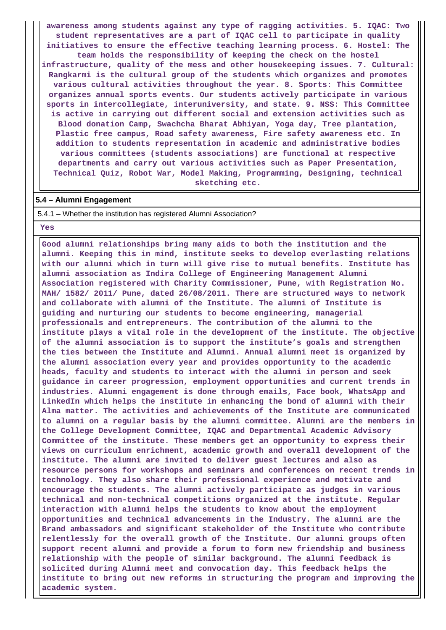**awareness among students against any type of ragging activities. 5. IQAC: Two student representatives are a part of IQAC cell to participate in quality initiatives to ensure the effective teaching learning process. 6. Hostel: The team holds the responsibility of keeping the check on the hostel infrastructure, quality of the mess and other housekeeping issues. 7. Cultural: Rangkarmi is the cultural group of the students which organizes and promotes various cultural activities throughout the year. 8. Sports: This Committee organizes annual sports events. Our students actively participate in various sports in intercollegiate, interuniversity, and state. 9. NSS: This Committee is active in carrying out different social and extension activities such as Blood donation Camp, Swachcha Bharat Abhiyan, Yoga day, Tree plantation, Plastic free campus, Road safety awareness, Fire safety awareness etc. In addition to students representation in academic and administrative bodies various committees (students associations) are functional at respective departments and carry out various activities such as Paper Presentation, Technical Quiz, Robot War, Model Making, Programming, Designing, technical sketching etc.**

#### **5.4 – Alumni Engagement**

5.4.1 – Whether the institution has registered Alumni Association?

#### **Yes**

 **Good alumni relationships bring many aids to both the institution and the alumni. Keeping this in mind, institute seeks to develop everlasting relations with our alumni which in turn will give rise to mutual benefits. Institute has alumni association as Indira College of Engineering Management Alumni Association registered with Charity Commissioner, Pune, with Registration No. MAH/ 1582/ 2011/ Pune, dated 26/08/2011. There are structured ways to network and collaborate with alumni of the Institute. The alumni of Institute is guiding and nurturing our students to become engineering, managerial professionals and entrepreneurs. The contribution of the alumni to the institute plays a vital role in the development of the institute. The objective of the alumni association is to support the institute's goals and strengthen the ties between the Institute and Alumni. Annual alumni meet is organized by the alumni association every year and provides opportunity to the academic heads, faculty and students to interact with the alumni in person and seek guidance in career progression, employment opportunities and current trends in industries. Alumni engagement is done through emails, Face book, WhatsApp and LinkedIn which helps the institute in enhancing the bond of alumni with their Alma matter. The activities and achievements of the Institute are communicated to alumni on a regular basis by the alumni committee. Alumni are the members in the College Development Committee, IQAC and Departmental Academic Advisory Committee of the institute. These members get an opportunity to express their views on curriculum enrichment, academic growth and overall development of the institute. The alumni are invited to deliver guest lectures and also as resource persons for workshops and seminars and conferences on recent trends in technology. They also share their professional experience and motivate and encourage the students. The alumni actively participate as judges in various technical and non-technical competitions organized at the institute. Regular interaction with alumni helps the students to know about the employment opportunities and technical advancements in the Industry. The alumni are the Brand ambassadors and significant stakeholder of the Institute who contribute relentlessly for the overall growth of the Institute. Our alumni groups often support recent alumni and provide a forum to form new friendship and business relationship with the people of similar background. The alumni feedback is solicited during Alumni meet and convocation day. This feedback helps the institute to bring out new reforms in structuring the program and improving the academic system.**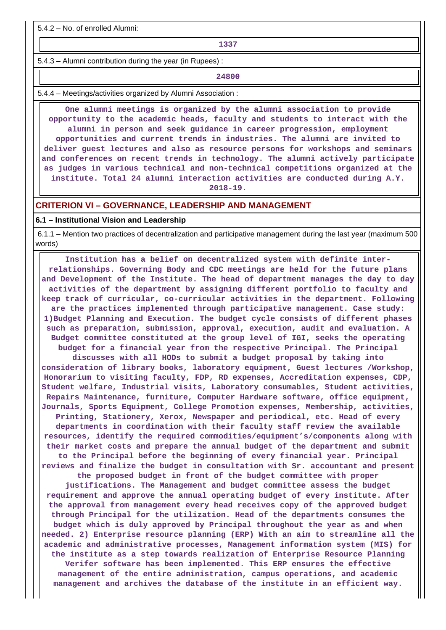5.4.2 – No. of enrolled Alumni:

**1337**

5.4.3 – Alumni contribution during the year (in Rupees) :

**24800**

5.4.4 – Meetings/activities organized by Alumni Association :

 **One alumni meetings is organized by the alumni association to provide opportunity to the academic heads, faculty and students to interact with the alumni in person and seek guidance in career progression, employment opportunities and current trends in industries. The alumni are invited to deliver guest lectures and also as resource persons for workshops and seminars and conferences on recent trends in technology. The alumni actively participate as judges in various technical and non-technical competitions organized at the institute. Total 24 alumni interaction activities are conducted during A.Y.**

**2018-19.**

#### **CRITERION VI – GOVERNANCE, LEADERSHIP AND MANAGEMENT**

#### **6.1 – Institutional Vision and Leadership**

 6.1.1 – Mention two practices of decentralization and participative management during the last year (maximum 500 words)

 **Institution has a belief on decentralized system with definite interrelationships. Governing Body and CDC meetings are held for the future plans and Development of the Institute. The head of department manages the day to day activities of the department by assigning different portfolio to faculty and keep track of curricular, co-curricular activities in the department. Following are the practices implemented through participative management. Case study: 1)Budget Planning and Execution. The budget cycle consists of different phases such as preparation, submission, approval, execution, audit and evaluation. A Budget committee constituted at the group level of IGI, seeks the operating budget for a financial year from the respective Principal. The Principal discusses with all HODs to submit a budget proposal by taking into consideration of library books, laboratory equipment, Guest lectures /Workshop, Honorarium to visiting faculty, FDP, RD expenses, Accreditation expenses, CDP, Student welfare, Industrial visits, Laboratory consumables, Student activities, Repairs Maintenance, furniture, Computer Hardware software, office equipment, Journals, Sports Equipment, College Promotion expenses, Membership, activities, Printing, Stationery, Xerox, Newspaper and periodical, etc. Head of every departments in coordination with their faculty staff review the available resources, identify the required commodities/equipment's/components along with their market costs and prepare the annual budget of the department and submit to the Principal before the beginning of every financial year. Principal reviews and finalize the budget in consultation with Sr. accountant and present the proposed budget in front of the budget committee with proper justifications. The Management and budget committee assess the budget requirement and approve the annual operating budget of every institute. After the approval from management every head receives copy of the approved budget through Principal for the utilization. Head of the departments consumes the budget which is duly approved by Principal throughout the year as and when needed. 2) Enterprise resource planning (ERP) With an aim to streamline all the academic and administrative processes, Management information system (MIS) for the institute as a step towards realization of Enterprise Resource Planning Verifer software has been implemented. This ERP ensures the effective management of the entire administration, campus operations, and academic management and archives the database of the institute in an efficient way.**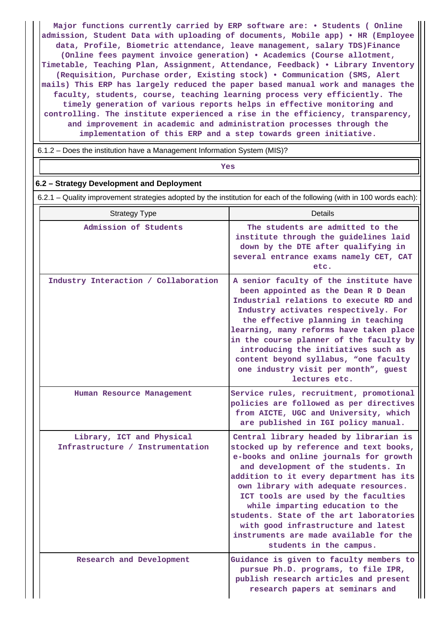**Major functions currently carried by ERP software are: • Students ( Online admission, Student Data with uploading of documents, Mobile app) • HR (Employee data, Profile, Biometric attendance, leave management, salary TDS)Finance (Online fees payment invoice generation) • Academics (Course allotment, Timetable, Teaching Plan, Assignment, Attendance, Feedback) • Library Inventory (Requisition, Purchase order, Existing stock) • Communication (SMS, Alert mails) This ERP has largely reduced the paper based manual work and manages the faculty, students, course, teaching learning process very efficiently. The timely generation of various reports helps in effective monitoring and controlling. The institute experienced a rise in the efficiency, transparency, and improvement in academic and administration processes through the implementation of this ERP and a step towards green initiative.**

6.1.2 – Does the institution have a Management Information System (MIS)?

*Yes* 

#### **6.2 – Strategy Development and Deployment**

6.2.1 – Quality improvement strategies adopted by the institution for each of the following (with in 100 words each):

| <b>Strategy Type</b>                                          | Details                                                                                                                                                                                                                                                                                                                                                                                                                                                                                 |
|---------------------------------------------------------------|-----------------------------------------------------------------------------------------------------------------------------------------------------------------------------------------------------------------------------------------------------------------------------------------------------------------------------------------------------------------------------------------------------------------------------------------------------------------------------------------|
| Admission of Students                                         | The students are admitted to the<br>institute through the guidelines laid<br>down by the DTE after qualifying in<br>several entrance exams namely CET, CAT<br>etc.                                                                                                                                                                                                                                                                                                                      |
| Industry Interaction / Collaboration                          | A senior faculty of the institute have<br>been appointed as the Dean R D Dean<br>Industrial relations to execute RD and<br>Industry activates respectively. For<br>the effective planning in teaching<br>learning, many reforms have taken place<br>in the course planner of the faculty by<br>introducing the initiatives such as<br>content beyond syllabus, "one faculty<br>one industry visit per month", guest<br>lectures etc.                                                    |
| Human Resource Management                                     | Service rules, recruitment, promotional<br>policies are followed as per directives<br>from AICTE, UGC and University, which<br>are published in IGI policy manual.                                                                                                                                                                                                                                                                                                                      |
| Library, ICT and Physical<br>Infrastructure / Instrumentation | Central library headed by librarian is<br>stocked up by reference and text books,<br>e-books and online journals for growth<br>and development of the students. In<br>addition to it every department has its<br>own library with adequate resources.<br>ICT tools are used by the faculties<br>while imparting education to the<br>students. State of the art laboratories<br>with good infrastructure and latest<br>instruments are made available for the<br>students in the campus. |
| Research and Development                                      | Guidance is given to faculty members to<br>pursue Ph.D. programs, to file IPR,<br>publish research articles and present<br>research papers at seminars and                                                                                                                                                                                                                                                                                                                              |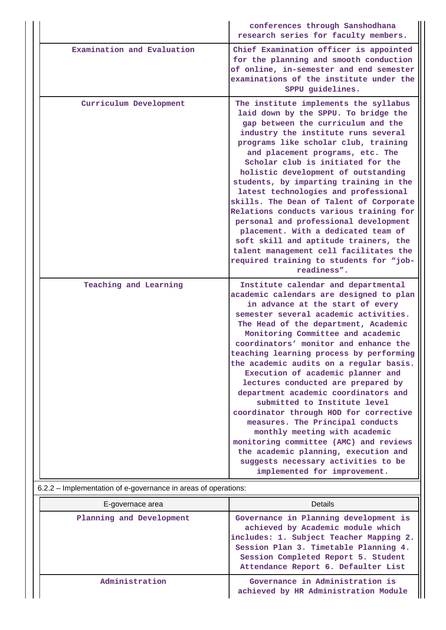|                            | conferences through Sanshodhana<br>research series for faculty members.                                                                                                                                                                                                                                                                                                                                                                                                                                                                                                                                                                                                                                                                                            |
|----------------------------|--------------------------------------------------------------------------------------------------------------------------------------------------------------------------------------------------------------------------------------------------------------------------------------------------------------------------------------------------------------------------------------------------------------------------------------------------------------------------------------------------------------------------------------------------------------------------------------------------------------------------------------------------------------------------------------------------------------------------------------------------------------------|
| Examination and Evaluation | Chief Examination officer is appointed<br>for the planning and smooth conduction<br>of online, in-semester and end semester<br>examinations of the institute under the<br>SPPU guidelines.                                                                                                                                                                                                                                                                                                                                                                                                                                                                                                                                                                         |
| Curriculum Development     | The institute implements the syllabus<br>laid down by the SPPU. To bridge the<br>gap between the curriculum and the<br>industry the institute runs several<br>programs like scholar club, training<br>and placement programs, etc. The<br>Scholar club is initiated for the<br>holistic development of outstanding<br>students, by imparting training in the<br>latest technologies and professional<br>skills. The Dean of Talent of Corporate<br>Relations conducts various training for<br>personal and professional development<br>placement. With a dedicated team of<br>soft skill and aptitude trainers, the<br>talent management cell facilitates the<br>required training to students for "job-<br>readiness".                                            |
| Teaching and Learning      | Institute calendar and departmental<br>academic calendars are designed to plan<br>in advance at the start of every<br>semester several academic activities.<br>The Head of the department, Academic<br>Monitoring Committee and academic<br>coordinators' monitor and enhance the<br>teaching learning process by performing<br>the academic audits on a regular basis.<br>Execution of academic planner and<br>lectures conducted are prepared by<br>department academic coordinators and<br>submitted to Institute level<br>coordinator through HOD for corrective<br>measures. The Principal conducts<br>monthly meeting with academic<br>monitoring committee (AMC) and reviews<br>the academic planning, execution and<br>suggests necessary activities to be |
|                            | implemented for improvement.                                                                                                                                                                                                                                                                                                                                                                                                                                                                                                                                                                                                                                                                                                                                       |

| E-governace area         | Details                                                                                                                                                                                               |
|--------------------------|-------------------------------------------------------------------------------------------------------------------------------------------------------------------------------------------------------|
| Planning and Development | Governance in Planning development is<br>achieved by Academic module which<br>includes: 1. Subject Teacher Mapping 2.<br>Session Plan 3. Timetable Planning 4.<br>Session Completed Report 5. Student |

**Administration Governance in Administration is achieved by HR Administration Module**

**Attendance Report 6. Defaulter List**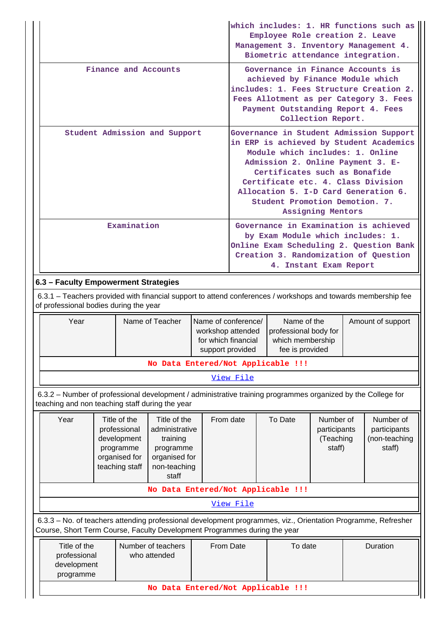|                                                                                                                                                                                                          |                                                                                                                                                                                          |                                    | which includes: 1. HR functions such as<br>Employee Role creation 2. Leave<br>Management 3. Inventory Management 4.<br>Biometric attendance integration.<br>Governance in Finance Accounts is<br>achieved by Finance Module which<br>includes: 1. Fees Structure Creation 2.<br>Fees Allotment as per Category 3. Fees<br>Payment Outstanding Report 4. Fees<br>Collection Report.<br>Governance in Student Admission Support<br>in ERP is achieved by Student Academics<br>Module which includes: 1. Online<br>Admission 2. Online Payment 3. E-<br>Certificates such as Bonafide<br>Certificate etc. 4. Class Division<br>Allocation 5. I-D Card Generation 6.<br>Student Promotion Demotion. 7.<br>Assigning Mentors |                      |         |                                                                                                                         |  |                                                      |  |
|----------------------------------------------------------------------------------------------------------------------------------------------------------------------------------------------------------|------------------------------------------------------------------------------------------------------------------------------------------------------------------------------------------|------------------------------------|-------------------------------------------------------------------------------------------------------------------------------------------------------------------------------------------------------------------------------------------------------------------------------------------------------------------------------------------------------------------------------------------------------------------------------------------------------------------------------------------------------------------------------------------------------------------------------------------------------------------------------------------------------------------------------------------------------------------------|----------------------|---------|-------------------------------------------------------------------------------------------------------------------------|--|------------------------------------------------------|--|
|                                                                                                                                                                                                          | Finance and Accounts                                                                                                                                                                     |                                    |                                                                                                                                                                                                                                                                                                                                                                                                                                                                                                                                                                                                                                                                                                                         |                      |         |                                                                                                                         |  |                                                      |  |
|                                                                                                                                                                                                          | Student Admission and Support                                                                                                                                                            |                                    |                                                                                                                                                                                                                                                                                                                                                                                                                                                                                                                                                                                                                                                                                                                         |                      |         |                                                                                                                         |  |                                                      |  |
|                                                                                                                                                                                                          | Governance in Examination is achieved<br>by Exam Module which includes: 1.<br>Online Exam Scheduling 2. Question Bank<br>Creation 3. Randomization of Question<br>4. Instant Exam Report |                                    |                                                                                                                                                                                                                                                                                                                                                                                                                                                                                                                                                                                                                                                                                                                         |                      |         |                                                                                                                         |  |                                                      |  |
| 6.3 - Faculty Empowerment Strategies                                                                                                                                                                     |                                                                                                                                                                                          |                                    |                                                                                                                                                                                                                                                                                                                                                                                                                                                                                                                                                                                                                                                                                                                         |                      |         |                                                                                                                         |  |                                                      |  |
| 6.3.1 – Teachers provided with financial support to attend conferences / workshops and towards membership fee<br>of professional bodies during the year                                                  |                                                                                                                                                                                          |                                    |                                                                                                                                                                                                                                                                                                                                                                                                                                                                                                                                                                                                                                                                                                                         |                      |         |                                                                                                                         |  |                                                      |  |
| Year                                                                                                                                                                                                     | Name of Teacher<br>workshop attended<br>for which financial<br>support provided                                                                                                          |                                    |                                                                                                                                                                                                                                                                                                                                                                                                                                                                                                                                                                                                                                                                                                                         |                      |         | Name of conference/<br>Name of the<br>Amount of support<br>professional body for<br>which membership<br>fee is provided |  |                                                      |  |
|                                                                                                                                                                                                          |                                                                                                                                                                                          | No Data Entered/Not Applicable !!! |                                                                                                                                                                                                                                                                                                                                                                                                                                                                                                                                                                                                                                                                                                                         |                      |         |                                                                                                                         |  |                                                      |  |
|                                                                                                                                                                                                          |                                                                                                                                                                                          |                                    |                                                                                                                                                                                                                                                                                                                                                                                                                                                                                                                                                                                                                                                                                                                         | View File            |         |                                                                                                                         |  |                                                      |  |
| 6.3.2 - Number of professional development / administrative training programmes organized by the College for<br>teaching and non teaching staff during the year                                          |                                                                                                                                                                                          |                                    |                                                                                                                                                                                                                                                                                                                                                                                                                                                                                                                                                                                                                                                                                                                         |                      |         |                                                                                                                         |  |                                                      |  |
| Year<br>Title of the<br>Title of the<br>professional<br>administrative<br>development<br>training<br>programme<br>programme<br>organised for<br>organised for<br>teaching staff<br>non-teaching<br>staff |                                                                                                                                                                                          |                                    |                                                                                                                                                                                                                                                                                                                                                                                                                                                                                                                                                                                                                                                                                                                         | From date            | To Date | Number of<br>participants<br>(Teaching<br>staff)                                                                        |  | Number of<br>participants<br>(non-teaching<br>staff) |  |
| No Data Entered/Not Applicable !!!                                                                                                                                                                       |                                                                                                                                                                                          |                                    |                                                                                                                                                                                                                                                                                                                                                                                                                                                                                                                                                                                                                                                                                                                         |                      |         |                                                                                                                         |  |                                                      |  |
| View File                                                                                                                                                                                                |                                                                                                                                                                                          |                                    |                                                                                                                                                                                                                                                                                                                                                                                                                                                                                                                                                                                                                                                                                                                         |                      |         |                                                                                                                         |  |                                                      |  |
| 6.3.3 - No. of teachers attending professional development programmes, viz., Orientation Programme, Refresher<br>Course, Short Term Course, Faculty Development Programmes during the year               |                                                                                                                                                                                          |                                    |                                                                                                                                                                                                                                                                                                                                                                                                                                                                                                                                                                                                                                                                                                                         |                      |         |                                                                                                                         |  |                                                      |  |
| Title of the<br>Number of teachers<br>professional<br>who attended<br>development<br>programme                                                                                                           |                                                                                                                                                                                          |                                    |                                                                                                                                                                                                                                                                                                                                                                                                                                                                                                                                                                                                                                                                                                                         | From Date<br>To date |         | Duration                                                                                                                |  |                                                      |  |
| No Data Entered/Not Applicable !!!                                                                                                                                                                       |                                                                                                                                                                                          |                                    |                                                                                                                                                                                                                                                                                                                                                                                                                                                                                                                                                                                                                                                                                                                         |                      |         |                                                                                                                         |  |                                                      |  |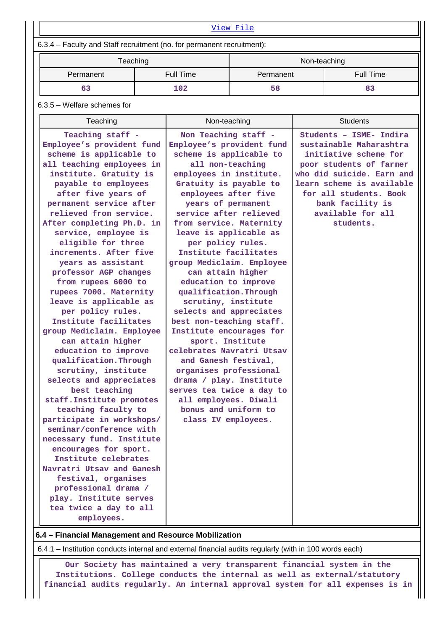| View File                                                                                                                                                                                                                                                                                                                                                                                                                                                                                                                                                                                                                                                                                                                                                                                                                                                                                                                                                                                                                      |  |                                                                                                                                                                                                                                                                                                                                                                                                                                                                                                                                                                                                                                                                                                                                                                                   |    |              |                                                                                                                                                                                                                                                  |  |  |  |
|--------------------------------------------------------------------------------------------------------------------------------------------------------------------------------------------------------------------------------------------------------------------------------------------------------------------------------------------------------------------------------------------------------------------------------------------------------------------------------------------------------------------------------------------------------------------------------------------------------------------------------------------------------------------------------------------------------------------------------------------------------------------------------------------------------------------------------------------------------------------------------------------------------------------------------------------------------------------------------------------------------------------------------|--|-----------------------------------------------------------------------------------------------------------------------------------------------------------------------------------------------------------------------------------------------------------------------------------------------------------------------------------------------------------------------------------------------------------------------------------------------------------------------------------------------------------------------------------------------------------------------------------------------------------------------------------------------------------------------------------------------------------------------------------------------------------------------------------|----|--------------|--------------------------------------------------------------------------------------------------------------------------------------------------------------------------------------------------------------------------------------------------|--|--|--|
| 6.3.4 - Faculty and Staff recruitment (no. for permanent recruitment):                                                                                                                                                                                                                                                                                                                                                                                                                                                                                                                                                                                                                                                                                                                                                                                                                                                                                                                                                         |  |                                                                                                                                                                                                                                                                                                                                                                                                                                                                                                                                                                                                                                                                                                                                                                                   |    |              |                                                                                                                                                                                                                                                  |  |  |  |
| Teaching                                                                                                                                                                                                                                                                                                                                                                                                                                                                                                                                                                                                                                                                                                                                                                                                                                                                                                                                                                                                                       |  |                                                                                                                                                                                                                                                                                                                                                                                                                                                                                                                                                                                                                                                                                                                                                                                   |    | Non-teaching |                                                                                                                                                                                                                                                  |  |  |  |
| Permanent                                                                                                                                                                                                                                                                                                                                                                                                                                                                                                                                                                                                                                                                                                                                                                                                                                                                                                                                                                                                                      |  | <b>Full Time</b><br>Permanent                                                                                                                                                                                                                                                                                                                                                                                                                                                                                                                                                                                                                                                                                                                                                     |    |              | <b>Full Time</b>                                                                                                                                                                                                                                 |  |  |  |
| 63                                                                                                                                                                                                                                                                                                                                                                                                                                                                                                                                                                                                                                                                                                                                                                                                                                                                                                                                                                                                                             |  | 102                                                                                                                                                                                                                                                                                                                                                                                                                                                                                                                                                                                                                                                                                                                                                                               | 58 |              | 83                                                                                                                                                                                                                                               |  |  |  |
| 6.3.5 - Welfare schemes for                                                                                                                                                                                                                                                                                                                                                                                                                                                                                                                                                                                                                                                                                                                                                                                                                                                                                                                                                                                                    |  |                                                                                                                                                                                                                                                                                                                                                                                                                                                                                                                                                                                                                                                                                                                                                                                   |    |              |                                                                                                                                                                                                                                                  |  |  |  |
| Teaching                                                                                                                                                                                                                                                                                                                                                                                                                                                                                                                                                                                                                                                                                                                                                                                                                                                                                                                                                                                                                       |  | Non-teaching                                                                                                                                                                                                                                                                                                                                                                                                                                                                                                                                                                                                                                                                                                                                                                      |    |              | <b>Students</b>                                                                                                                                                                                                                                  |  |  |  |
| Teaching staff -<br>Employee's provident fund<br>scheme is applicable to<br>all teaching employees in<br>institute. Gratuity is<br>payable to employees<br>after five years of<br>permanent service after<br>relieved from service.<br>After completing Ph.D. in<br>service, employee is<br>eligible for three<br>increments. After five<br>years as assistant<br>professor AGP changes<br>from rupees 6000 to<br>rupees 7000. Maternity<br>leave is applicable as<br>per policy rules.<br>Institute facilitates<br>group Mediclaim. Employee<br>can attain higher<br>education to improve<br>qualification.Through<br>scrutiny, institute<br>selects and appreciates<br>best teaching<br>staff. Institute promotes<br>teaching faculty to<br>participate in workshops/<br>seminar/conference with<br>necessary fund. Institute<br>encourages for sport.<br>Institute celebrates<br>Navratri Utsav and Ganesh<br>festival, organises<br>professional drama /<br>play. Institute serves<br>tea twice a day to all<br>employees. |  | Non Teaching staff -<br>Employee's provident fund<br>scheme is applicable to<br>all non-teaching<br>employees in institute.<br>Gratuity is payable to<br>employees after five<br>years of permanent<br>service after relieved<br>from service. Maternity<br>leave is applicable as<br>per policy rules.<br>Institute facilitates<br>group Mediclaim. Employee<br>can attain higher<br>education to improve<br>qualification. Through<br>scrutiny, institute<br>selects and appreciates<br>best non-teaching staff.<br>Institute encourages for<br>sport. Institute<br>celebrates Navratri Utsav<br>and Ganesh festival,<br>organises professional<br>drama / play. Institute<br>serves tea twice a day to<br>all employees. Diwali<br>bonus and uniform to<br>class IV employees. |    |              | Students - ISME- Indira<br>sustainable Maharashtra<br>initiative scheme for<br>poor students of farmer<br>who did suicide. Earn and<br>learn scheme is available<br>for all students. Book<br>bank facility is<br>available for all<br>students. |  |  |  |

**6.4 – Financial Management and Resource Mobilization**

6.4.1 – Institution conducts internal and external financial audits regularly (with in 100 words each)

 **Our Society has maintained a very transparent financial system in the Institutions. College conducts the internal as well as external/statutory financial audits regularly. An internal approval system for all expenses is in**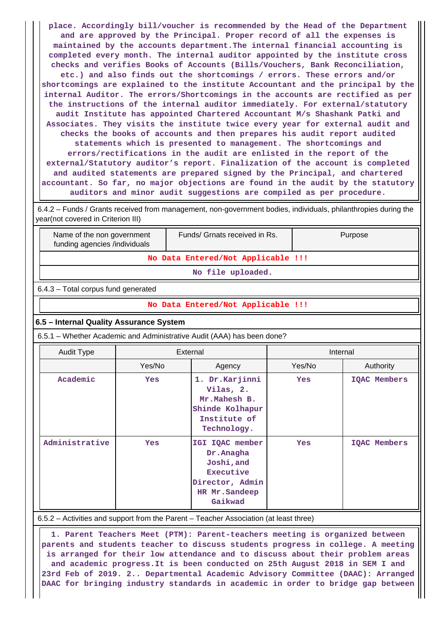**place. Accordingly bill/voucher is recommended by the Head of the Department and are approved by the Principal. Proper record of all the expenses is maintained by the accounts department.The internal financial accounting is completed every month. The internal auditor appointed by the institute cross checks and verifies Books of Accounts (Bills/Vouchers, Bank Reconciliation, etc.) and also finds out the shortcomings / errors. These errors and/or shortcomings are explained to the institute Accountant and the principal by the internal Auditor. The errors/Shortcomings in the accounts are rectified as per the instructions of the internal auditor immediately. For external/statutory audit Institute has appointed Chartered Accountant M/s Shashank Patki and Associates. They visits the institute twice every year for external audit and checks the books of accounts and then prepares his audit report audited statements which is presented to management. The shortcomings and errors/rectifications in the audit are enlisted in the report of the external/Statutory auditor's report. Finalization of the account is completed and audited statements are prepared signed by the Principal, and chartered accountant. So far, no major objections are found in the audit by the statutory auditors and minor audit suggestions are compiled as per procedure.**

 6.4.2 – Funds / Grants received from management, non-government bodies, individuals, philanthropies during the year(not covered in Criterion III)

 Name of the non government funding agencies /individuals

**No Data Entered/Not Applicable !!!**

Funds/ Grnats received in Rs. | Purpose

**No file uploaded.**

6.4.3 – Total corpus fund generated

#### **No Data Entered/Not Applicable !!!**

#### **6.5 – Internal Quality Assurance System**

6.5.1 – Whether Academic and Administrative Audit (AAA) has been done?

| Audit Type     | External   |                                                                                                         | Internal   |                     |  |  |
|----------------|------------|---------------------------------------------------------------------------------------------------------|------------|---------------------|--|--|
|                | Yes/No     | Agency                                                                                                  | Yes/No     | Authority           |  |  |
| Academic       | <b>Yes</b> | 1. Dr.Karjinni<br>Vilas, 2.<br>Mr.Mahesh B.<br>Shinde Kolhapur<br>Institute of<br>Technology.           | <b>Yes</b> | <b>IOAC Members</b> |  |  |
| Administrative | <b>Yes</b> | IGI IQAC member<br>Dr. Anagha<br>Joshi, and<br>Executive<br>Director, Admin<br>HR Mr.Sandeep<br>Gaikwad | <b>Yes</b> | <b>IOAC Members</b> |  |  |

6.5.2 – Activities and support from the Parent – Teacher Association (at least three)

 **1. Parent Teachers Meet (PTM): Parent-teachers meeting is organized between parents and students teacher to discuss students progress in college. A meeting is arranged for their low attendance and to discuss about their problem areas and academic progress.It is been conducted on 25th August 2018 in SEM I and 23rd Feb of 2019. 2.. Departmental Academic Advisory Committee (DAAC): Arranged DAAC for bringing industry standards in academic in order to bridge gap between**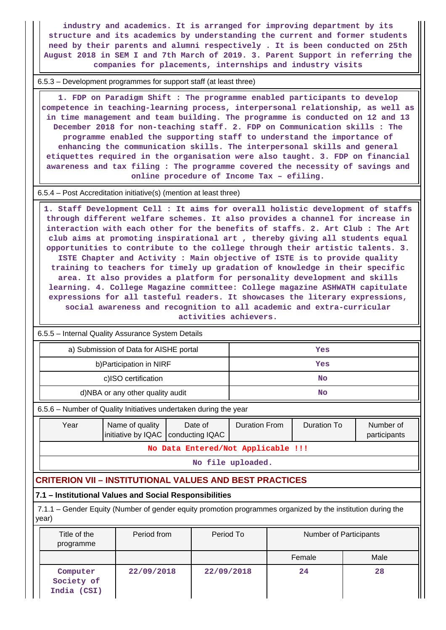**industry and academics. It is arranged for improving department by its structure and its academics by understanding the current and former students need by their parents and alumni respectively . It is been conducted on 25th August 2018 in SEM I and 7th March of 2019. 3. Parent Support in referring the companies for placements, internships and industry visits**

6.5.3 – Development programmes for support staff (at least three)

 **1. FDP on Paradigm Shift : The programme enabled participants to develop competence in teaching-learning process, interpersonal relationship, as well as in time management and team building. The programme is conducted on 12 and 13 December 2018 for non-teaching staff. 2. FDP on Communication skills : The programme enabled the supporting staff to understand the importance of enhancing the communication skills. The interpersonal skills and general etiquettes required in the organisation were also taught. 3. FDP on financial awareness and tax filing : The programme covered the necessity of savings and online procedure of Income Tax – efiling.**

6.5.4 – Post Accreditation initiative(s) (mention at least three)

 **1. Staff Development Cell : It aims for overall holistic development of staffs through different welfare schemes. It also provides a channel for increase in interaction with each other for the benefits of staffs. 2. Art Club : The Art club aims at promoting inspirational art , thereby giving all students equal opportunities to contribute to the college through their artistic talents. 3. ISTE Chapter and Activity : Main objective of ISTE is to provide quality training to teachers for timely up gradation of knowledge in their specific area. It also provides a platform for personality development and skills learning. 4. College Magazine committee: College magazine ASHWATH capitulate expressions for all tasteful readers. It showcases the literary expressions, social awareness and recognition to all academic and extra-curricular activities achievers.**

| 6.5.5 - Internal Quality Assurance System Details                                                                                                        |                                        |                                    |     |    |           |  |      |  |  |  |
|----------------------------------------------------------------------------------------------------------------------------------------------------------|----------------------------------------|------------------------------------|-----|----|-----------|--|------|--|--|--|
|                                                                                                                                                          | a) Submission of Data for AISHE portal | Yes                                |     |    |           |  |      |  |  |  |
|                                                                                                                                                          | b) Participation in NIRF               |                                    | Yes |    |           |  |      |  |  |  |
|                                                                                                                                                          | c)ISO certification                    |                                    |     | No |           |  |      |  |  |  |
|                                                                                                                                                          | d)NBA or any other quality audit       |                                    |     |    | <b>No</b> |  |      |  |  |  |
| 6.5.6 – Number of Quality Initiatives undertaken during the year                                                                                         |                                        |                                    |     |    |           |  |      |  |  |  |
| Name of quality<br><b>Duration From</b><br><b>Duration To</b><br>Year<br>Date of<br>Number of<br>initiative by IQAC  <br>conducting IQAC<br>participants |                                        |                                    |     |    |           |  |      |  |  |  |
|                                                                                                                                                          |                                        | No Data Entered/Not Applicable !!! |     |    |           |  |      |  |  |  |
| No file uploaded.                                                                                                                                        |                                        |                                    |     |    |           |  |      |  |  |  |
| <b>CRITERION VII – INSTITUTIONAL VALUES AND BEST PRACTICES</b>                                                                                           |                                        |                                    |     |    |           |  |      |  |  |  |
| 7.1 - Institutional Values and Social Responsibilities                                                                                                   |                                        |                                    |     |    |           |  |      |  |  |  |
| 7.1.1 – Gender Equity (Number of gender equity promotion programmes organized by the institution during the<br>year)                                     |                                        |                                    |     |    |           |  |      |  |  |  |
| Period from<br>Period To<br>Title of the<br><b>Number of Participants</b><br>programme                                                                   |                                        |                                    |     |    |           |  |      |  |  |  |
|                                                                                                                                                          |                                        |                                    |     |    | Female    |  | Male |  |  |  |
| Computer<br>Society of<br>India (CSI)                                                                                                                    | 22/09/2018                             | 22/09/2018                         |     |    | 24        |  | 28   |  |  |  |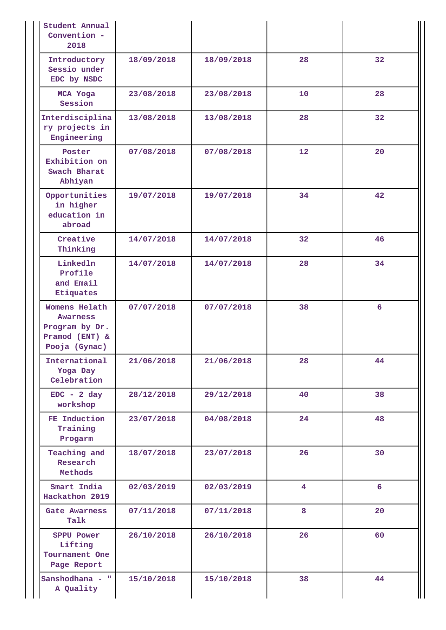| Student Annual<br>Convention -<br>2018                                                  |            |            |                |    |
|-----------------------------------------------------------------------------------------|------------|------------|----------------|----|
| Introductory<br>Sessio under<br>EDC by NSDC                                             | 18/09/2018 | 18/09/2018 | 28             | 32 |
| MCA Yoga<br>Session                                                                     | 23/08/2018 | 23/08/2018 | 10             | 28 |
| Interdisciplina<br>ry projects in<br>Engineering                                        | 13/08/2018 | 13/08/2018 | 28             | 32 |
| Poster<br>Exhibition on<br>Swach Bharat<br>Abhiyan                                      | 07/08/2018 | 07/08/2018 | 12             | 20 |
| Opportunities<br>in higher<br>education in<br>abroad                                    | 19/07/2018 | 19/07/2018 | 34             | 42 |
| Creative<br>Thinking                                                                    | 14/07/2018 | 14/07/2018 | 32             | 46 |
| Linkedln<br>Profile<br>and Email<br>Etiquates                                           | 14/07/2018 | 14/07/2018 | 28             | 34 |
| Womens Helath<br><b>Awarness</b><br>Program by Dr.<br>Pramod $(ENT)$ &<br>Pooja (Gynac) | 07/07/2018 | 07/07/2018 | 38             | 6  |
| International<br>Yoga Day<br>Celebration                                                | 21/06/2018 | 21/06/2018 | 28             | 44 |
| $EDC - 2 day$<br>workshop                                                               | 28/12/2018 | 29/12/2018 | 40             | 38 |
| FE Induction<br>Training<br>Progarm                                                     | 23/07/2018 | 04/08/2018 | 24             | 48 |
| Teaching and<br>Research<br>Methods                                                     | 18/07/2018 | 23/07/2018 | 26             | 30 |
| Smart India<br>Hackathon 2019                                                           | 02/03/2019 | 02/03/2019 | $\overline{4}$ | 6  |
| <b>Gate Awarness</b><br>Talk                                                            | 07/11/2018 | 07/11/2018 | 8              | 20 |
| <b>SPPU Power</b><br>Lifting<br>Tournament One<br>Page Report                           | 26/10/2018 | 26/10/2018 | 26             | 60 |
| Sanshodhana - "<br>A Quality                                                            | 15/10/2018 | 15/10/2018 | 38             | 44 |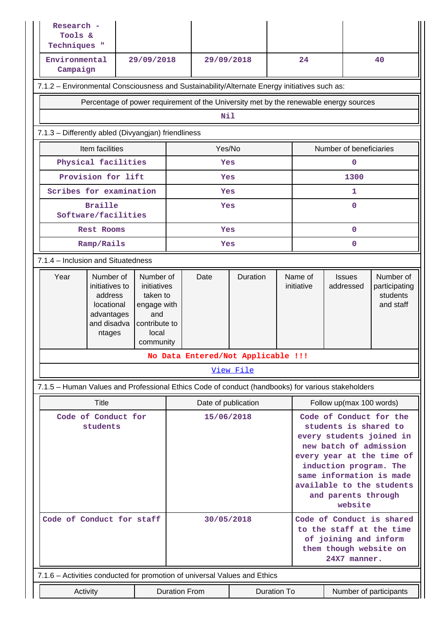| Research -<br>Tools &<br>Techniques "                                                                                                                                                                    |                                                                                       |                                    |                     |            |           |                                                                                                                                                                                                                                                          |                         |                            |                                                     |  |
|----------------------------------------------------------------------------------------------------------------------------------------------------------------------------------------------------------|---------------------------------------------------------------------------------------|------------------------------------|---------------------|------------|-----------|----------------------------------------------------------------------------------------------------------------------------------------------------------------------------------------------------------------------------------------------------------|-------------------------|----------------------------|-----------------------------------------------------|--|
| Environmental<br>Campaign                                                                                                                                                                                | 29/09/2018                                                                            |                                    |                     | 29/09/2018 |           |                                                                                                                                                                                                                                                          | 24                      |                            | 40                                                  |  |
| 7.1.2 - Environmental Consciousness and Sustainability/Alternate Energy initiatives such as:                                                                                                             |                                                                                       |                                    |                     |            |           |                                                                                                                                                                                                                                                          |                         |                            |                                                     |  |
|                                                                                                                                                                                                          | Percentage of power requirement of the University met by the renewable energy sources |                                    |                     |            |           |                                                                                                                                                                                                                                                          |                         |                            |                                                     |  |
|                                                                                                                                                                                                          | Nil                                                                                   |                                    |                     |            |           |                                                                                                                                                                                                                                                          |                         |                            |                                                     |  |
| 7.1.3 - Differently abled (Divyangjan) friendliness                                                                                                                                                      |                                                                                       |                                    |                     |            |           |                                                                                                                                                                                                                                                          |                         |                            |                                                     |  |
| Item facilities                                                                                                                                                                                          |                                                                                       |                                    | Yes/No              |            |           |                                                                                                                                                                                                                                                          | Number of beneficiaries |                            |                                                     |  |
| Physical facilities                                                                                                                                                                                      |                                                                                       |                                    |                     | Yes        |           |                                                                                                                                                                                                                                                          |                         | 0                          |                                                     |  |
| Provision for lift                                                                                                                                                                                       |                                                                                       |                                    |                     | Yes        |           |                                                                                                                                                                                                                                                          |                         | 1300                       |                                                     |  |
| Scribes for examination                                                                                                                                                                                  |                                                                                       |                                    |                     | Yes        |           |                                                                                                                                                                                                                                                          |                         | 1                          |                                                     |  |
| <b>Braille</b><br>Software/facilities                                                                                                                                                                    |                                                                                       |                                    |                     | Yes        |           |                                                                                                                                                                                                                                                          |                         | 0                          |                                                     |  |
| <b>Rest Rooms</b>                                                                                                                                                                                        |                                                                                       |                                    |                     | Yes        |           |                                                                                                                                                                                                                                                          |                         | 0                          |                                                     |  |
| Ramp/Rails                                                                                                                                                                                               |                                                                                       |                                    |                     | Yes        |           |                                                                                                                                                                                                                                                          |                         | 0                          |                                                     |  |
| 7.1.4 - Inclusion and Situatedness                                                                                                                                                                       |                                                                                       |                                    |                     |            |           |                                                                                                                                                                                                                                                          |                         |                            |                                                     |  |
| Year<br>Number of<br>Number of<br>initiatives to<br>initiatives<br>address<br>taken to<br>locational<br>engage with<br>advantages<br>and<br>and disadva<br>contribute to<br>local<br>ntages<br>community |                                                                                       |                                    |                     | Date       | Duration  |                                                                                                                                                                                                                                                          | Name of<br>initiative   | <b>Issues</b><br>addressed | Number of<br>participating<br>students<br>and staff |  |
|                                                                                                                                                                                                          |                                                                                       | No Data Entered/Not Applicable !!! |                     |            |           |                                                                                                                                                                                                                                                          |                         |                            |                                                     |  |
|                                                                                                                                                                                                          |                                                                                       |                                    |                     |            | View File |                                                                                                                                                                                                                                                          |                         |                            |                                                     |  |
| 7.1.5 - Human Values and Professional Ethics Code of conduct (handbooks) for various stakeholders                                                                                                        |                                                                                       |                                    |                     |            |           |                                                                                                                                                                                                                                                          |                         |                            |                                                     |  |
| Title                                                                                                                                                                                                    |                                                                                       |                                    | Date of publication |            |           | Follow up(max 100 words)                                                                                                                                                                                                                                 |                         |                            |                                                     |  |
| Code of Conduct for<br>students                                                                                                                                                                          |                                                                                       |                                    | 15/06/2018          |            |           | Code of Conduct for the<br>students is shared to<br>every students joined in<br>new batch of admission<br>every year at the time of<br>induction program. The<br>same information is made<br>available to the students<br>and parents through<br>website |                         |                            |                                                     |  |
| Code of Conduct for staff                                                                                                                                                                                |                                                                                       |                                    | 30/05/2018          |            |           | Code of Conduct is shared<br>to the staff at the time<br>of joining and inform<br>them though website on<br>24X7 manner.                                                                                                                                 |                         |                            |                                                     |  |
| 7.1.6 - Activities conducted for promotion of universal Values and Ethics                                                                                                                                |                                                                                       |                                    |                     |            |           |                                                                                                                                                                                                                                                          |                         |                            |                                                     |  |
| Activity                                                                                                                                                                                                 | <b>Duration From</b><br><b>Duration To</b><br>Number of participants                  |                                    |                     |            |           |                                                                                                                                                                                                                                                          |                         |                            |                                                     |  |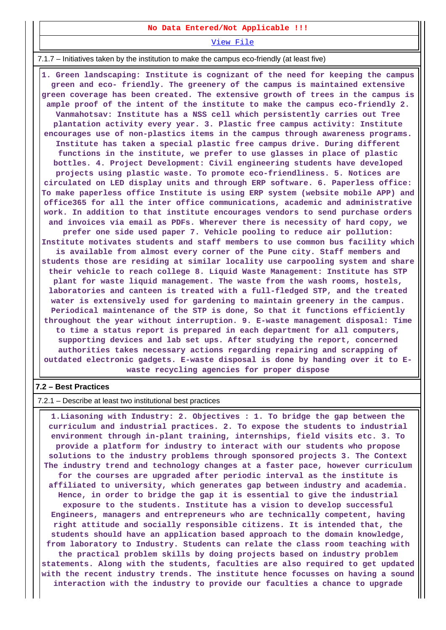#### **No Data Entered/Not Applicable !!!**

[View File](https://assessmentonline.naac.gov.in/public/Postacc/promotion_activities/4908_promotion_activities_1584170774.xlsx)

7.1.7 – Initiatives taken by the institution to make the campus eco-friendly (at least five)

 **1. Green landscaping: Institute is cognizant of the need for keeping the campus green and eco- friendly. The greenery of the campus is maintained extensive green coverage has been created. The extensive growth of trees in the campus is ample proof of the intent of the institute to make the campus eco-friendly 2. Vanmahotsav: Institute has a NSS cell which persistently carries out Tree plantation activity every year. 3. Plastic free campus activity: Institute encourages use of non-plastics items in the campus through awareness programs. Institute has taken a special plastic free campus drive. During different functions in the institute, we prefer to use glasses in place of plastic bottles. 4. Project Development: Civil engineering students have developed projects using plastic waste. To promote eco-friendliness. 5. Notices are circulated on LED display units and through ERP software. 6. Paperless office: To make paperless office Institute is using ERP system (website mobile APP) and office365 for all the inter office communications, academic and administrative work. In addition to that institute encourages vendors to send purchase orders and invoices via email as PDFs. Wherever there is necessity of hard copy, we prefer one side used paper 7. Vehicle pooling to reduce air pollution: Institute motivates students and staff members to use common bus facility which is available from almost every corner of the Pune city. Staff members and students those are residing at similar locality use carpooling system and share their vehicle to reach college 8. Liquid Waste Management: Institute has STP plant for waste liquid management. The waste from the wash rooms, hostels, laboratories and canteen is treated with a full-fledged STP, and the treated water is extensively used for gardening to maintain greenery in the campus. Periodical maintenance of the STP is done, So that it functions efficiently throughout the year without interruption. 9. E-waste management disposal: Time to time a status report is prepared in each department for all computers, supporting devices and lab set ups. After studying the report, concerned authorities takes necessary actions regarding repairing and scrapping of outdated electronic gadgets. E-waste disposal is done by handing over it to Ewaste recycling agencies for proper dispose**

#### **7.2 – Best Practices**

7.2.1 – Describe at least two institutional best practices

 **1.Liasoning with Industry: 2. Objectives : 1. To bridge the gap between the curriculum and industrial practices. 2. To expose the students to industrial environment through in-plant training, internships, field visits etc. 3. To provide a platform for industry to interact with our students who propose solutions to the industry problems through sponsored projects 3. The Context The industry trend and technology changes at a faster pace, however curriculum for the courses are upgraded after periodic interval as the institute is affiliated to university, which generates gap between industry and academia. Hence, in order to bridge the gap it is essential to give the industrial exposure to the students. Institute has a vision to develop successful Engineers, managers and entrepreneurs who are technically competent, having right attitude and socially responsible citizens. It is intended that, the students should have an application based approach to the domain knowledge, from laboratory to Industry. Students can relate the class room teaching with the practical problem skills by doing projects based on industry problem statements. Along with the students, faculties are also required to get updated with the recent industry trends. The institute hence focusses on having a sound interaction with the industry to provide our faculties a chance to upgrade**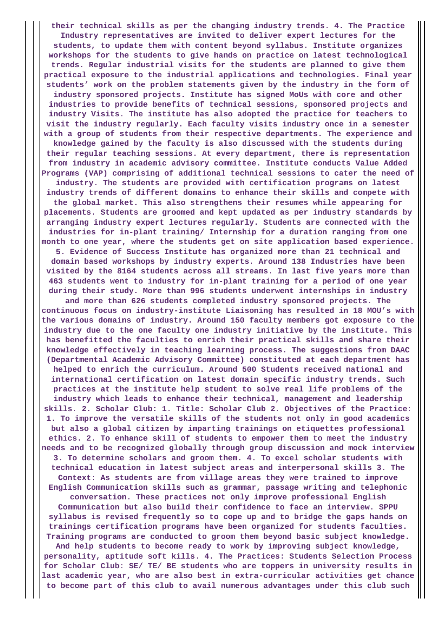**their technical skills as per the changing industry trends. 4. The Practice Industry representatives are invited to deliver expert lectures for the students, to update them with content beyond syllabus. Institute organizes workshops for the students to give hands on practice on latest technological trends. Regular industrial visits for the students are planned to give them practical exposure to the industrial applications and technologies. Final year students' work on the problem statements given by the industry in the form of industry sponsored projects. Institute has signed MoUs with core and other industries to provide benefits of technical sessions, sponsored projects and industry Visits. The institute has also adopted the practice for teachers to visit the industry regularly. Each faculty visits industry once in a semester with a group of students from their respective departments. The experience and knowledge gained by the faculty is also discussed with the students during their regular teaching sessions. At every department, there is representation from industry in academic advisory committee. Institute conducts Value Added Programs (VAP) comprising of additional technical sessions to cater the need of industry. The students are provided with certification programs on latest industry trends of different domains to enhance their skills and compete with the global market. This also strengthens their resumes while appearing for placements. Students are groomed and kept updated as per industry standards by arranging industry expert lectures regularly. Students are connected with the industries for in-plant training/ Internship for a duration ranging from one month to one year, where the students get on site application based experience. 5. Evidence of Success Institute has organized more than 21 technical and domain based workshops by industry experts. Around 138 Industries have been visited by the 8164 students across all streams. In last five years more than 463 students went to industry for in-plant training for a period of one year during their study. More than 996 students underwent internships in industry and more than 626 students completed industry sponsored projects. The continuous focus on industry-institute Liaisoning has resulted in 18 MOU's with the various domains of industry. Around 150 faculty members got exposure to the industry due to the one faculty one industry initiative by the institute. This has benefitted the faculties to enrich their practical skills and share their knowledge effectively in teaching learning process. The suggestions from DAAC (Departmental Academic Advisory Committee) constituted at each department has helped to enrich the curriculum. Around 500 Students received national and international certification on latest domain specific industry trends. Such practices at the institute help student to solve real life problems of the industry which leads to enhance their technical, management and leadership skills. 2. Scholar Club: 1. Title: Scholar Club 2. Objectives of the Practice: 1. To improve the versatile skills of the students not only in good academics but also a global citizen by imparting trainings on etiquettes professional ethics. 2. To enhance skill of students to empower them to meet the industry needs and to be recognized globally through group discussion and mock interview 3. To determine scholars and groom them. 4. To excel scholar students with technical education in latest subject areas and interpersonal skills 3. The Context: As students are from village areas they were trained to improve English Communication skills such as grammar, passage writing and telephonic conversation. These practices not only improve professional English Communication but also build their confidence to face an interview. SPPU syllabus is revised frequently so to cope up and to bridge the gaps hands on trainings certification programs have been organized for students faculties. Training programs are conducted to groom them beyond basic subject knowledge. And help students to become ready to work by improving subject knowledge, personality, aptitude soft kills. 4. The Practices: Students Selection Process for Scholar Club: SE/ TE/ BE students who are toppers in university results in last academic year, who are also best in extra-curricular activities get chance to become part of this club to avail numerous advantages under this club such**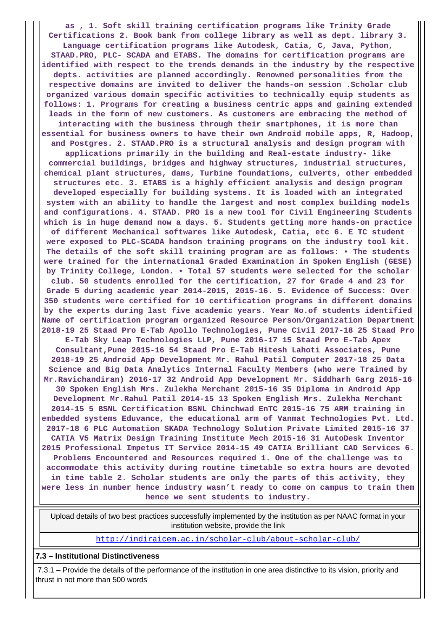**as , 1. Soft skill training certification programs like Trinity Grade Certifications 2. Book bank from college library as well as dept. library 3. Language certification programs like Autodesk, Catia, C, Java, Python, STAAD.PRO, PLC- SCADA and ETABS. The domains for certification programs are identified with respect to the trends demands in the industry by the respective depts. activities are planned accordingly. Renowned personalities from the respective domains are invited to deliver the hands-on session .Scholar club organized various domain specific activities to technically equip students as follows: 1. Programs for creating a business centric apps and gaining extended leads in the form of new customers. As customers are embracing the method of interacting with the business through their smartphones, it is more than essential for business owners to have their own Android mobile apps, R, Hadoop, and Postgres. 2. STAAD.PRO is a structural analysis and design program with applications primarily in the building and Real-estate industry- like commercial buildings, bridges and highway structures, industrial structures, chemical plant structures, dams, Turbine foundations, culverts, other embedded structures etc. 3. ETABS is a highly efficient analysis and design program developed especially for building systems. It is loaded with an integrated system with an ability to handle the largest and most complex building models and configurations. 4. STAAD. PRO is a new tool for Civil Engineering Students which is in huge demand now a days. 5. Students getting more hands-on practice of different Mechanical softwares like Autodesk, Catia, etc 6. E TC student were exposed to PLC-SCADA handson training programs on the industry tool kit. The details of the soft skill training program are as follows: • The students were trained for the international Graded Examination in Spoken English (GESE) by Trinity College, London. • Total 57 students were selected for the scholar club. 50 students enrolled for the certification, 27 for Grade 4 and 23 for Grade 5 during academic year 2014-2015, 2015-16. 5. Evidence of Success: Over 350 students were certified for 10 certification programs in different domains by the experts during last five academic years. Year No.of students identified Name of certification program organized Resource Person/Organization Department 2018-19 25 Staad Pro E-Tab Apollo Technologies, Pune Civil 2017-18 25 Staad Pro E-Tab Sky Leap Technologies LLP, Pune 2016-17 15 Staad Pro E-Tab Apex Consultant,Pune 2015-16 54 Staad Pro E-Tab Hitesh Lahoti Associates, Pune 2018-19 25 Android App Development Mr. Rahul Patil Computer 2017-18 25 Data Science and Big Data Analytics Internal Faculty Members (who were Trained by Mr.Ravichandiran) 2016-17 32 Android App Development Mr. Siddharh Garg 2015-16 30 Spoken English Mrs. Zulekha Merchant 2015-16 35 Diploma in Android App Development Mr.Rahul Patil 2014-15 13 Spoken English Mrs. Zulekha Merchant 2014-15 5 BSNL Certification BSNL Chinchwad EnTC 2015-16 75 ARM training in embedded systems Eduvance, the educational arm of Vanmat Technologies Pvt. Ltd. 2017-18 6 PLC Automation SKADA Technology Solution Private Limited 2015-16 37 CATIA V5 Matrix Design Training Institute Mech 2015-16 31 AutoDesk Inventor 2015 Professional Impetus IT Service 2014-15 49 CATIA Brilliant CAD Services 6. Problems Encountered and Resources required 1. One of the challenge was to accommodate this activity during routine timetable so extra hours are devoted in time table 2. Scholar students are only the parts of this activity, they were less in number hence industry wasn't ready to come on campus to train them hence we sent students to industry.**

 Upload details of two best practices successfully implemented by the institution as per NAAC format in your institution website, provide the link

<http://indiraicem.ac.in/scholar-club/about-scholar-club/>

#### **7.3 – Institutional Distinctiveness**

 7.3.1 – Provide the details of the performance of the institution in one area distinctive to its vision, priority and thrust in not more than 500 words